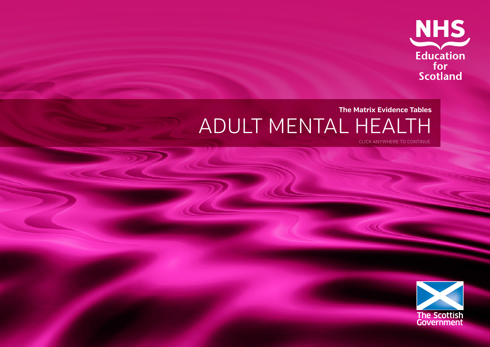

### **The Matrix Evidence Tables** ADULT MENTAL HEALTH CLICK ANYWHERE TO CONTINUE

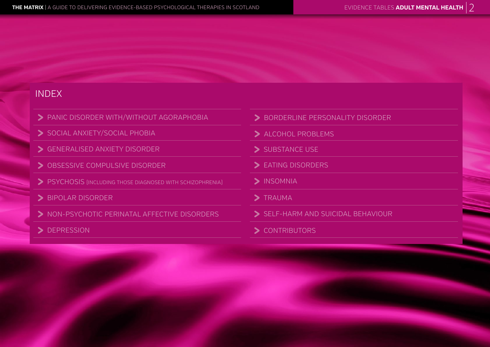### INDEX

- PANIC DISORDER WITH/WITHOUT AGORAPHOBIA
- SOCIAL ANXIETY/SOCIAL PHOBIA<br>
SUBSTANCE USE SUBSTANCE USE<br>
SUBSTANCE USE
- 
- $\begin{array}{c}\n\blacktriangleright\n\end{array}$  OBSESSIVE COMPULSIVE DISORDER  $\begin{array}{c}\n\blacktriangleright\n\end{array}$  EATING DISORDERS
- > PSYCHOSIS (INCLUDING THOSE DIAGNOSED WITH SCHIZOPHRENIA) > > INSOMNIA
- > BIPOLAR DISORDER
- 1998 BIPOLAR DISORDER<br>
2 NON-PSYCHOTIC PERINATAL AFFECTIVE DISORDERS 2 SELF-HARM AND SUICIDAL BEHAVIOUR PANIC DISORDER WITH/WITHOUT AGORAPHOBIA<br>
SOCIAL ANXIETY/SOCIAL PHOBIA<br>
GENERALISED ANXIETY DISORDER<br>
OBSESSIVE COMPULSIVE DISORDER<br>
DESESSIVE COMPULSIVE DISORDER<br>
PSYCHOSIS (INCLUDING THOSE DIAGNOSED WITH SCHIZOPHRENIA)<br>
B
- 
- 
- 
- 
- 
- 
- 
- 
-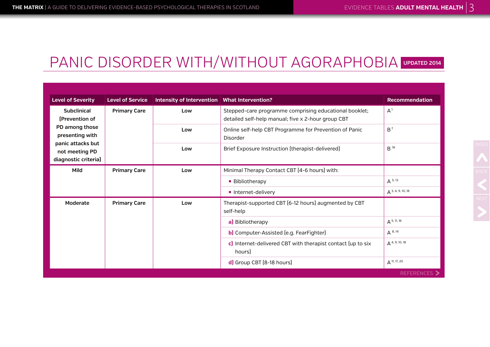### PANIC DISORDER WITH/WITHOUT AGORAPHOBIA **UPDATED 2014**

| <b>Level of Severity</b>                                    | <b>Level of Service</b> | Intensity of Intervention   What Intervention? |                                                                                                              | <b>Recommendation</b> |
|-------------------------------------------------------------|-------------------------|------------------------------------------------|--------------------------------------------------------------------------------------------------------------|-----------------------|
| <b>Subclinical</b><br>[Prevention of                        | <b>Primary Care</b>     | Low                                            | Stepped-care programme comprising educational booklet;<br>detailed self-help manual; five x 2-hour group CBT | A <sup>1</sup>        |
| PD among those<br>presenting with                           |                         | Low                                            | Online self-help CBT Programme for Prevention of Panic<br>Disorder                                           | $B^7$                 |
| panic attacks but<br>not meeting PD<br>diagnostic criteria) |                         | Low                                            | Brief Exposure Instruction (therapist-delivered)                                                             | B <sup>19</sup>       |
| Mild                                                        | <b>Primary Care</b>     | Low                                            | Minimal Therapy Contact CBT [4-6 hours] with:                                                                |                       |
|                                                             |                         |                                                | ■ Bibliotherapy                                                                                              | $A^{5,13}$            |
|                                                             |                         |                                                | Internet-delivery                                                                                            | $A^{3, 4, 9, 10, 18}$ |
| Moderate                                                    | <b>Primary Care</b>     | Low                                            | Therapist-supported CBT [6-12 hours] augmented by CBT<br>self-help                                           |                       |
|                                                             |                         |                                                | a) Bibliotherapy                                                                                             | $A$ 5, 11, 16         |
|                                                             |                         |                                                | b) Computer-Assisted (e.g. FearFighter)                                                                      | $A^{8,14}$            |
|                                                             |                         |                                                | c) Internet-delivered CBT with therapist contact (up to six<br>hours                                         | $A^{4, 9, 10, 18}$    |
|                                                             |                         |                                                | d) Group CBT [8-18 hours]                                                                                    | $A$ 11, 17, 20        |
|                                                             |                         |                                                |                                                                                                              | REFERENCES >          |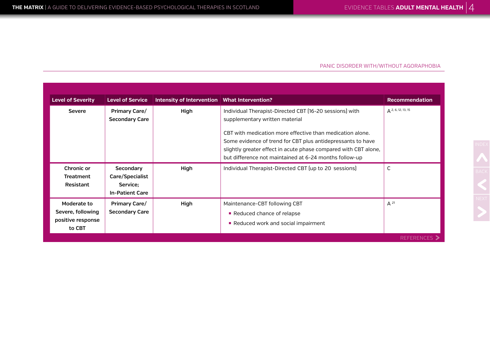#### PANIC DISORDER WITH/WITHOUT AGORAPHOBIA

| <b>Level of Severity</b>                                        | <b>Level of Service</b>                                            | Intensity of Intervention   What Intervention? |                                                                                                                                                                                                                                                                                                                                                    | <b>Recommendation</b>     |
|-----------------------------------------------------------------|--------------------------------------------------------------------|------------------------------------------------|----------------------------------------------------------------------------------------------------------------------------------------------------------------------------------------------------------------------------------------------------------------------------------------------------------------------------------------------------|---------------------------|
| <b>Severe</b>                                                   | <b>Primary Care/</b><br><b>Secondary Care</b>                      | High                                           | Individual Therapist-Directed CBT [16-20 sessions] with<br>supplementary written material<br>CBT with medication more effective than medication alone.<br>Some evidence of trend for CBT plus antidepressants to have<br>slightly greater effect in acute phase compared with CBT alone,<br>but difference not maintained at 6-24 months follow-up | $\Delta$ 2, 6, 12, 13, 15 |
| Chronic or<br><b>Treatment</b><br>Resistant                     | Secondary<br>Care/Specialist<br>Service:<br><b>In-Patient Care</b> | High                                           | Individual Therapist-Directed CBT (up to 20 sessions)                                                                                                                                                                                                                                                                                              | C                         |
| Moderate to<br>Severe, following<br>positive response<br>to CBT | Primary Care/<br><b>Secondary Care</b>                             | High                                           | Maintenance-CBT following CBT<br>Reduced chance of relapse<br>Reduced work and social impairment                                                                                                                                                                                                                                                   | $A^{21}$                  |
|                                                                 |                                                                    |                                                |                                                                                                                                                                                                                                                                                                                                                    | <b>REFERENCES</b> >       |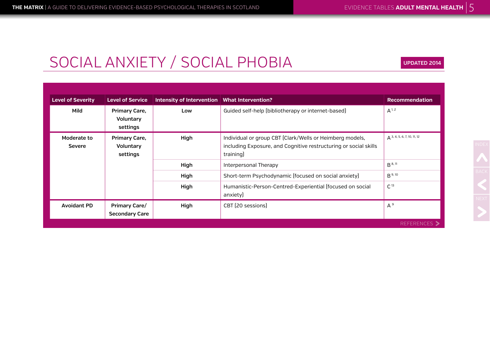# SOCIAL ANXIETY / SOCIAL PHOBIA

**UPDATED 2014**

| <b>Level of Severity</b>     | <b>Level of Service</b>                       | Intensity of Intervention   What Intervention? |                                                                                                                                           | <b>Recommendation</b>           |
|------------------------------|-----------------------------------------------|------------------------------------------------|-------------------------------------------------------------------------------------------------------------------------------------------|---------------------------------|
| Mild                         | <b>Primary Care,</b><br>Voluntary<br>settings | Low                                            | Guided self-help (bibliotherapy or internet-based)                                                                                        | $A^{1, 2}$                      |
| Moderate to<br><b>Severe</b> | <b>Primary Care,</b><br>Voluntary<br>settings | High                                           | Individual or group CBT (Clark/Wells or Heimberg models,<br>including Exposure, and Cognitive restructuring or social skills<br>training) | $A^{3, 4, 5, 6, 7, 10, 11, 12}$ |
|                              |                                               | High                                           | Interpersonal Therapy                                                                                                                     | $B^{8,11}$                      |
|                              |                                               | High                                           | Short-term Psychodynamic (focused on social anxiety)                                                                                      | $B^{9,10}$                      |
|                              |                                               | High                                           | Humanistic-Person-Centred-Experiential (focused on social<br>anxiety)                                                                     | C <sup>13</sup>                 |
| <b>Avoidant PD</b>           | <b>Primary Care/</b>                          | High                                           | CBT [20 sessions]                                                                                                                         | $A^9$                           |
|                              | <b>Secondary Care</b>                         |                                                |                                                                                                                                           |                                 |
|                              |                                               |                                                |                                                                                                                                           | <b>REFERENCES</b> >             |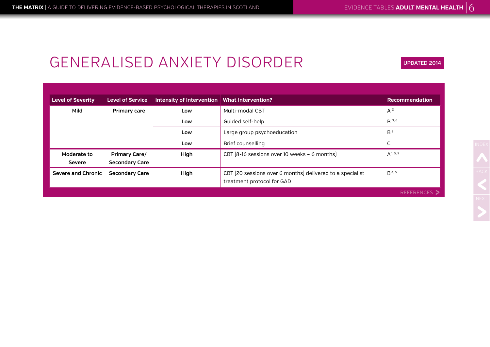**UPDATED 2014**

# GENERALISED ANXIETY DISORDER

| <b>Level of Severity</b> | <b>Level of Service</b> | Intensity of Intervention   What Intervention? |                                                                                         | <b>Recommendation</b> |
|--------------------------|-------------------------|------------------------------------------------|-----------------------------------------------------------------------------------------|-----------------------|
| Mild                     | Primary care            | Low                                            | Multi-modal CBT                                                                         | $A^2$                 |
|                          |                         | Low                                            | Guided self-help                                                                        | $B^{3,6}$             |
|                          |                         | Low                                            | Large group psychoeducation                                                             | $B^8$                 |
|                          |                         | Low                                            | Brief counselling                                                                       | ◡                     |
| Moderate to              | <b>Primary Care/</b>    | High                                           | CBT [8-16 sessions over 10 weeks - 6 months]                                            | $A^{1, 5, 9}$         |
| <b>Severe</b>            | <b>Secondary Care</b>   |                                                |                                                                                         |                       |
| Severe and Chronic       | <b>Secondary Care</b>   | High                                           | CBT (20 sessions over 6 months) delivered to a specialist<br>treatment protocol for GAD | B <sup>4, 5</sup>     |
|                          |                         |                                                |                                                                                         | REFERENCES >          |

NDEX<br>BACK<br>NEXT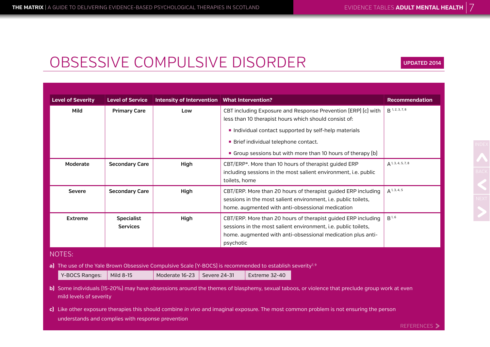**UPDATED 2014**

# OBSESSIVE COMPULSIVE DISORDER

**Level of Severity Level of Service Intensity of Intervention What Intervention? Recommendation Mild Primary Care Low** CBT including Exposure and Response Prevention (ERP) (c) with less than 10 therapist hours which should consist of: ■ Individual contact supported by self-help materials **• Brief individual telephone contact. Group sessions but with more than 10 hours of therapy (b)** B 1, 2, 3, 7, 8 **Moderate** Secondary Care **High** CBT/ERP\*. More than 10 hours of therapist quided ERP including sessions in the most salient environment, i.e. public toilets, home  $\Delta$  1, 3, 4, 5, 7, 8 **Severe Secondary Care <b>High** High CBT/ERP. More than 20 hours of therapist quided ERP including sessions in the most salient environment, i.e. public toilets, home. augmented with anti-obsessional medication A 1, 3, 4, 5 **Extreme Specialist Services High** CBT/ERP. More than 20 hours of therapist guided ERP including sessions in the most salient environment, i.e. public toilets, home. augmented with anti-obsessional medication plus antipsychotic B 1, 6 NOTES: **a)** The use of the Yale Brown Obsessive Compulsive Scale (Y-BOCS) is recommended to establish severity<sup>7, 9</sup> Y-BOCS Ranges:  $\parallel$  Mild 8-15 Moderate 16-23 Severe 24-31 Extreme 32-40 **b)** Some individuals (15-20%) may have obsessions around the themes of blasphemy, sexual taboos, or violence that preclude group work at even mild levels of severity **c)** Like other exposure therapies this should combine *in vivo* and imaginal exposure. The most common problem is not ensuring the person understands and complies with response prevention

REFERENCES >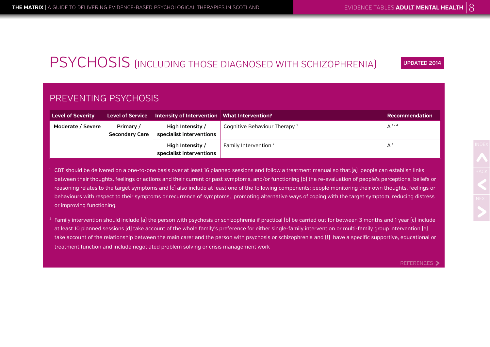## PSYCHOSIS (INCLUDING THOSE DIAGNOSED WITH SCHIZOPHRENIA)

**UPDATED 2014**

### PREVENTING PSYCHOSIS

| <b>Level of Severity</b> | <b>Level of Service</b>            | Intensity of Intervention   What Intervention? |                                  | <b>Recommendation</b> |
|--------------------------|------------------------------------|------------------------------------------------|----------------------------------|-----------------------|
| Moderate / Severe        | Primary /<br><b>Secondary Care</b> | High Intensity /<br>specialist interventions   | Cognitive Behaviour Therapy $1$  | $A^{1-4}$             |
|                          |                                    | High Intensity /<br>specialist interventions   | Family Intervention <sup>2</sup> | $A^1$                 |

<sup>1</sup> CBT should be delivered on a one-to-one basis over at least 16 planned sessions and follow a treatment manual so that:(a) people can establish links between their thoughts, feelings or actions and their current or past symptoms, and/or functioning [b] the re-evaluation of people's perceptions, beliefs or reasoning relates to the target symptoms and (c) also include at least one of the following components: people monitoring their own thoughts, feelings or behaviours with respect to their symptoms or recurrence of symptoms, promoting alternative ways of coping with the target symptom, reducing distress or improving functioning.

<sup>2</sup> Family intervention should include (a) the person with psychosis or schizophrenia if practical (b) be carried out for between 3 months and 1 year (c) include at least 10 planned sessions (d) take account of the whole family's preference for either single-family intervention or multi-family group intervention (e) take account of the relationship between the main carer and the person with psychosis or schizophrenia and (f) have a specific supportive, educational or treatment function and include negotiated problem solving or crisis management work

REFERENCES >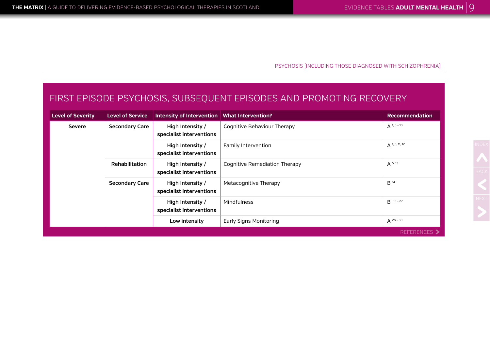PSYCHOSIS (INCLUDING THOSE DIAGNOSED WITH SCHIZOPHRENIA)

### FIRST EPISODE PSYCHOSIS, SUBSEQUENT EPISODES AND PROMOTING RECOVERY

| <b>Level of Severity</b> | <b>Level of Service</b> | Intensity of Intervention   What Intervention? |                                      | <b>Recommendation</b> |
|--------------------------|-------------------------|------------------------------------------------|--------------------------------------|-----------------------|
| <b>Severe</b>            | <b>Secondary Care</b>   | High Intensity /<br>specialist interventions   | Cognitive Behaviour Therapy          | $A^{1, 5 - 10}$       |
|                          |                         | High Intensity /<br>specialist interventions   | Family Intervention                  | $A^{1, 5, 11, 12}$    |
|                          | Rehabilitation          | High Intensity /<br>specialist interventions   | <b>Cognitive Remediation Therapy</b> | $A^{5,13}$            |
|                          | <b>Secondary Care</b>   | High Intensity /<br>specialist interventions   | Metacognitive Therapy                | B <sup>14</sup>       |
|                          |                         | High Intensity /<br>specialist interventions   | Mindfulness                          | $B$ 15 - 27           |
|                          |                         | Low intensity                                  | Early Signs Monitoring               | $A^{28-30}$           |
|                          |                         |                                                |                                      | REFERENCES >          |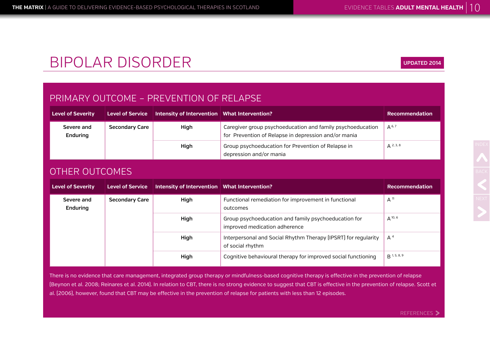# BIPOLAR DISORDER

### PRIMARY OUTCOME – PREVENTION OF RELAPSE

| <b>Level of Severity</b>                        | Level of Service | Intensity of Intervention   What Intervention?                                                                     |                                                                               | <b>Recommendation</b> |
|-------------------------------------------------|------------------|--------------------------------------------------------------------------------------------------------------------|-------------------------------------------------------------------------------|-----------------------|
| <b>Secondary Care</b><br>Severe and<br>Enduring | High             | Caregiver group psychoeducation and family psychoeducation<br>for Prevention of Relapse in depression and/or mania | $A^{6,7}$                                                                     |                       |
|                                                 |                  | High                                                                                                               | Group psychoeducation for Prevention of Relapse in<br>depression and/or mania | $A^{2,3,8}$           |

### OTHER OUTCOMES

| <b>Level of Severity</b> | <b>Level of Service</b> | Intensity of Intervention   What Intervention? |                                                                                       | Recommendation   |
|--------------------------|-------------------------|------------------------------------------------|---------------------------------------------------------------------------------------|------------------|
| Severe and<br>Enduring   | <b>Secondary Care</b>   | High                                           | Functional remediation for improvement in functional<br>outcomes                      | A <sup>11</sup>  |
|                          |                         | High                                           | Group psychoeducation and family psychoeducation for<br>improved medication adherence | $A^{10, 6}$      |
|                          |                         | High                                           | Interpersonal and Social Rhythm Therapy (IPSRT) for regularity<br>of social rhythm    | $A^4$            |
|                          |                         | High                                           | Cognitive behavioural therapy for improved social functioning                         | $B^{1, 5, 8, 9}$ |

There is no evidence that care management, integrated group therapy or mindfulness-based cognitive therapy is effective in the prevention of relapse (Beynon et al. 2008; Reinares et al. 2014). In relation to CBT, there is no strong evidence to suggest that CBT is effective in the prevention of relapse. Scott et al. (2006), however, found that CBT may be effective in the prevention of relapse for patients with less than 12 episodes.

**UPDATED 2014**

REFERENCES >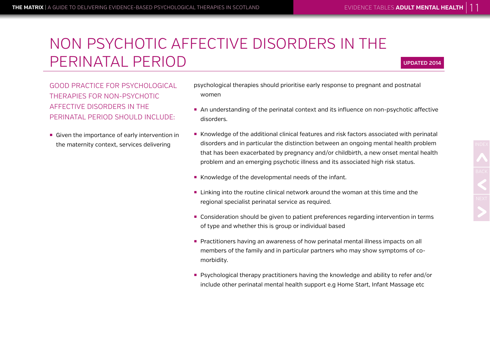# NON PSYCHOTIC AFFECTIVE DISORDERS IN THE PERINATAL PERIOD

#### **UPDATED 2014**

GOOD PRACTICE FOR PSYCHOLOGICAL THERAPIES FOR NON-PSYCHOTIC AFFECTIVE DISORDERS IN THE PERINATAL PERIOD SHOULD INCLUDE:

**• Given the importance of early intervention in** the maternity context, services delivering

- psychological therapies should prioritise early response to pregnant and postnatal women
- An understanding of the perinatal context and its influence on non-psychotic affective disorders.
- Knowledge of the additional clinical features and risk factors associated with perinatal disorders and in particular the distinction between an ongoing mental health problem that has been exacerbated by pregnancy and/or childbirth, a new onset mental health problem and an emerging psychotic illness and its associated high risk status.
- Knowledge of the developmental needs of the infant.
- ¡ Linking into the routine clinical network around the woman at this time and the regional specialist perinatal service as required.
- ¡ Consideration should be given to patient preferences regarding intervention in terms of type and whether this is group or individual based
- **Practitioners having an awareness of how perinatal mental illness impacts on all** members of the family and in particular partners who may show symptoms of comorbidity.
- **Psychological therapy practitioners having the knowledge and ability to refer and/or** include other perinatal mental health support e.g Home Start, Infant Massage etc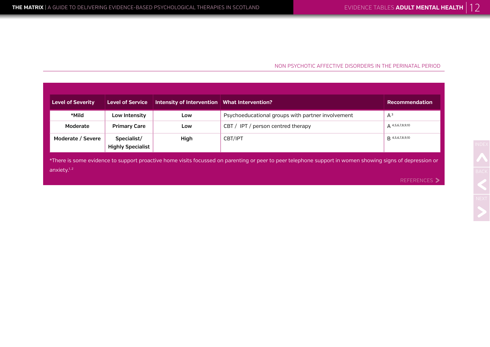#### NON PSYCHOTIC AFFECTIVE DISORDERS IN THE PERINATAL PERIOD

| <b>Level of Severity</b>                                                                                                                                                    | <b>Level of Service</b>                 | Intensity of Intervention   What Intervention? |                                                   | <b>Recommendation</b> |  |
|-----------------------------------------------------------------------------------------------------------------------------------------------------------------------------|-----------------------------------------|------------------------------------------------|---------------------------------------------------|-----------------------|--|
| *Mild                                                                                                                                                                       | Low Intensity                           | Low                                            | Psychoeducational groups with partner involvement | $A^3$                 |  |
| Moderate                                                                                                                                                                    | <b>Primary Care</b>                     | Low                                            | CBT / IPT / person centred therapy                | $A^{4,5,6,7,8,9,10}$  |  |
| Moderate / Severe                                                                                                                                                           | Specialist/<br><b>Highly Specialist</b> | High                                           | CBT/IPT                                           | B 4,5,6,7,8,9,10      |  |
| *There is some evidence to support proactive home visits focussed on parenting or peer to peer telephone support in women showing signs of depression or<br>anxiety. $1, 2$ |                                         |                                                |                                                   |                       |  |
|                                                                                                                                                                             |                                         |                                                |                                                   | <b>REFERENCES</b> >   |  |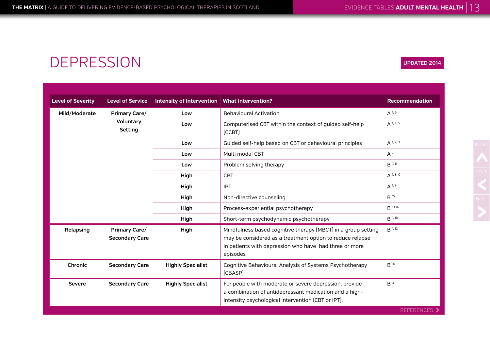## DEPRESSION

| <b>Level of Severity</b> |                                               |                                                |                                                                                                                                                                                                  |                       |
|--------------------------|-----------------------------------------------|------------------------------------------------|--------------------------------------------------------------------------------------------------------------------------------------------------------------------------------------------------|-----------------------|
|                          | <b>Level of Service</b>                       | Intensity of Intervention   What Intervention? |                                                                                                                                                                                                  | <b>Recommendation</b> |
| Mild/Moderate            | <b>Primary Care/</b>                          | Low                                            | <b>Behavioural Activation</b>                                                                                                                                                                    | $A^{1, 6}$            |
|                          | Voluntary<br>Setting                          | Low                                            | Computerised CBT within the context of guided self-help<br>[CCBT]                                                                                                                                | $A^{1, 4, 5}$         |
|                          |                                               | Low                                            | Guided self-help based on CBT or behavioural principles                                                                                                                                          | $A^{1, 2, 3}$         |
|                          |                                               | Low                                            | Multi modal CBT                                                                                                                                                                                  | $A^7$                 |
|                          |                                               | Low                                            | Problem solving therapy                                                                                                                                                                          | B <sup>1, 11</sup>    |
|                          |                                               | High                                           | <b>CBT</b>                                                                                                                                                                                       | $A^{1, 8, 10}$        |
|                          |                                               | High                                           | <b>IPT</b>                                                                                                                                                                                       | $A^{1, 9}$            |
|                          |                                               | High                                           | Non-directive counseling                                                                                                                                                                         | B <sup>15</sup>       |
|                          |                                               | High                                           | Process-experiential psychotherapy                                                                                                                                                               | B 13,14               |
|                          |                                               | High                                           | Short-term psychodynamic psychotherapy                                                                                                                                                           | B <sup>1, 10</sup>    |
| Relapsing                | <b>Primary Care/</b><br><b>Secondary Care</b> | High                                           | Mindfulness based cognitive therapy (MBCT) in a group setting<br>may be considered as a treatment option to reduce relapse<br>in patients with depression who have had three or more<br>episodes | B <sup>1, 12</sup>    |
| Chronic                  | <b>Secondary Care</b>                         | <b>Highly Specialist</b>                       | Cognitive Behavioural Analysis of Systems Psychotherapy<br>[CBASP]                                                                                                                               | B <sup>16</sup>       |
| <b>Severe</b>            | <b>Secondary Care</b>                         | <b>Highly Specialist</b>                       | For people with moderate or severe depression, provide<br>a combination of antidepressant medication and a high-<br>intensity psychological intervention (CBT or IPT).                           | B <sup>3</sup>        |

#### **UPDATED 2014**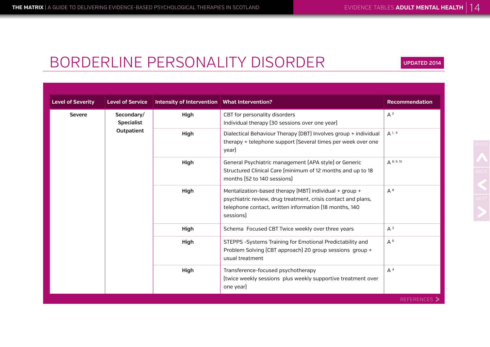**UPDATED 2014**

## BORDERLINE PERSONALITY DISORDER

**Level of Severity Level of Service Intensity of Intervention What Intervention? Recommendation Severe Secondary/ Specialist Outpatient High** CBT for personality disorders Individual therapy (30 sessions over one year)  $A^2$ **High** Dialectical Behaviour Therapy (DBT) Involves group + individual therapy + telephone support (Several times per week over one year) A 1, 9 **High** General Psychiatric management (APA style) or Generic Structured Clinical Care (minimum of 12 months and up to 18 months (52 to 140 sessions) A 8, 9, 10 **High** Mentalization-based therapy (MBT) individual + group + psychiatric review, drug treatment, crisis contact and plans, telephone contact, written information (18 months, 140 sessions) A 8 **High** Schema Focused CBT Twice weekly over three years A<sup>3</sup> **High** STEPPS -Systems Training for Emotional Predictability and Problem Solving (CBT approach) 20 group sessions group + usual treatment A 6 **High** Transference-focused psychotherapy (twice weekly sessions plus weekly supportive treatment over one year) A 4 **REFERENCES**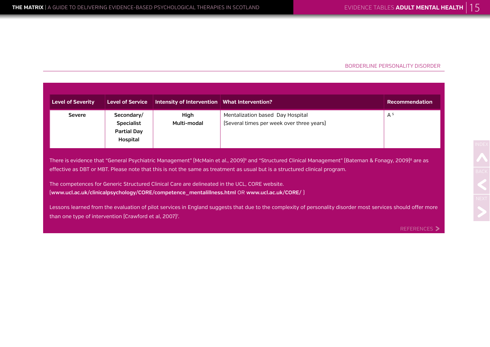#### BORDERLINE PERSONALITY DISORDER

| <b>Level of Severity</b>                                                                                                                                                                                                                                                                                   | <b>Level of Service</b>                                           | Intensity of Intervention   What Intervention? |                                                                               | <b>Recommendation</b> |  |
|------------------------------------------------------------------------------------------------------------------------------------------------------------------------------------------------------------------------------------------------------------------------------------------------------------|-------------------------------------------------------------------|------------------------------------------------|-------------------------------------------------------------------------------|-----------------------|--|
| <b>Severe</b>                                                                                                                                                                                                                                                                                              | Secondary/<br><b>Specialist</b><br><b>Partial Day</b><br>Hospital | High<br>Multi-modal                            | Mentalization based Day Hospital<br>[Several times per week over three years] | A <sup>5</sup>        |  |
| There is evidence that "General Psychiatric Management" [McMain et al., 2009] <sup>9</sup> and "Structured Clinical Management" [Bateman & Fonagy, 2009] <sup>8</sup> are as<br>effective as DBT or MBT. Please note that this is not the same as treatment as usual but is a structured clinical program. |                                                                   |                                                |                                                                               |                       |  |
| The competences for Generic Structured Clinical Care are delineated in the UCL, CORE website.<br>[www.ucl.ac.uk/clinicalpsychology/CORE/competence_mentalillness.html OR www.ucl.ac.uk/CORE/ ]                                                                                                             |                                                                   |                                                |                                                                               |                       |  |
| Lessons learned from the evaluation of pilot services in England suggests that due to the complexity of personality disorder most services should offer more<br>than one type of intervention (Crawford et al, 2007) <sup>7</sup> .                                                                        |                                                                   |                                                |                                                                               |                       |  |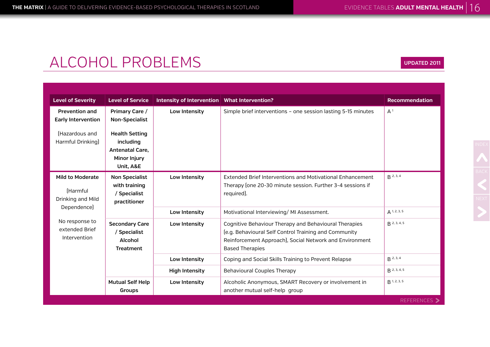| <b>Level of Severity</b>                                             | <b>Level of Service</b>                                                | Intensity of Intervention   What Intervention? |                                                                                                                                                                                                     | <b>Recommendation</b>     |
|----------------------------------------------------------------------|------------------------------------------------------------------------|------------------------------------------------|-----------------------------------------------------------------------------------------------------------------------------------------------------------------------------------------------------|---------------------------|
| <b>Prevention and</b><br><b>Early Intervention</b><br>[Hazardous and | Primary Care /<br><b>Non-Specialist</b><br><b>Health Setting</b>       | Low Intensity                                  | Simple brief interventions - one session lasting 5-15 minutes                                                                                                                                       | A <sup>1</sup>            |
| Harmful Drinking]                                                    | including<br><b>Antenatal Care.</b><br>Minor Injury<br>Unit, A&E       |                                                |                                                                                                                                                                                                     |                           |
| <b>Mild to Moderate</b><br>[Harmful<br>Drinking and Mild             | <b>Non Specialist</b><br>with training<br>/ Specialist<br>practitioner | Low Intensity                                  | Extended Brief Interventions and Motivational Enhancement<br>Therapy (one 20-30 minute session. Further 3-4 sessions if<br>required).                                                               | $R^{2,3,4}$               |
| Dependence)                                                          |                                                                        | Low Intensity                                  | Motivational Interviewing/MI Assessment.                                                                                                                                                            | $A$ 1, 2, 3, 5            |
| No response to<br>extended Brief<br>Intervention                     | <b>Secondary Care</b><br>/ Specialist<br>Alcohol<br><b>Treatment</b>   | Low Intensity                                  | Cognitive Behaviour Therapy and Behavioural Therapies<br>[e.g. Behavioural Self Control Training and Community<br>Reinforcement Approach), Social Network and Environment<br><b>Based Therapies</b> | $B$ 2, 3, 4, 5            |
|                                                                      |                                                                        | Low Intensity                                  | Coping and Social Skills Training to Prevent Relapse                                                                                                                                                | $R^{2,3,4}$               |
|                                                                      |                                                                        | <b>High Intensity</b>                          | <b>Behavioural Couples Therapy</b>                                                                                                                                                                  | $R$ 2, 3, 4, 5            |
|                                                                      | <b>Mutual Self Help</b><br>Groups                                      | Low Intensity                                  | Alcoholic Anonymous, SMART Recovery or involvement in<br>another mutual self-help group                                                                                                             | $R$ <sup>1, 2, 3, 5</sup> |
|                                                                      |                                                                        |                                                |                                                                                                                                                                                                     | <b>REFERENCES</b> >       |

**UPDATED 2011**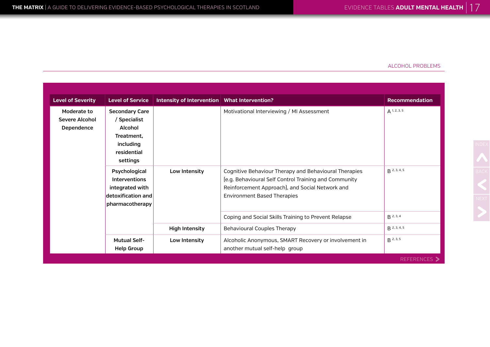| <b>Level of Severity</b>                    | <b>Level of Service</b>                                                                                | Intensity of Intervention   What Intervention? |                                                                                                                                                                                                         | <b>Recommendation</b> |
|---------------------------------------------|--------------------------------------------------------------------------------------------------------|------------------------------------------------|---------------------------------------------------------------------------------------------------------------------------------------------------------------------------------------------------------|-----------------------|
| Moderate to<br>Severe Alcohol<br>Dependence | <b>Secondary Care</b><br>/ Specialist<br>Alcohol<br>Treatment,<br>including<br>residential<br>settings |                                                | Motivational Interviewing / MI Assessment                                                                                                                                                               | $A$ 1, 2, 3, 5        |
|                                             | Psychological<br><b>Interventions</b><br>integrated with<br>detoxification and<br>pharmacotherapy      | Low Intensity                                  | Cognitive Behaviour Therapy and Behavioural Therapies<br>[e.g. Behavioural Self Control Training and Community<br>Reinforcement Approach), and Social Network and<br><b>Environment Based Therapies</b> | $R$ 2, 3, 4, 5        |
|                                             |                                                                                                        |                                                | Coping and Social Skills Training to Prevent Relapse                                                                                                                                                    | $R^{2,3,4}$           |
|                                             |                                                                                                        | <b>High Intensity</b>                          | <b>Behavioural Couples Therapy</b>                                                                                                                                                                      | $R$ 2, 3, 4, 5        |
|                                             | <b>Mutual Self-</b><br><b>Help Group</b>                                                               | Low Intensity                                  | Alcoholic Anonymous, SMART Recovery or involvement in<br>another mutual self-help group                                                                                                                 | $B^{2,3,5}$           |
|                                             |                                                                                                        |                                                |                                                                                                                                                                                                         | REFERENCES >          |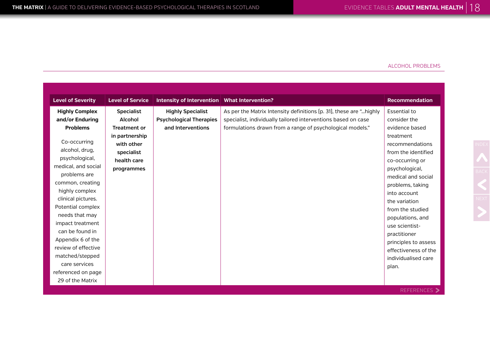| <b>Level of Severity</b>                                                                                                                                                                                                                                                                                                                                                                               | <b>Level of Service</b>                                                                                                        | Intensity of Intervention   What Intervention?                                  |                                                                                                                                                                                                   | <b>Recommendation</b>                                                                                                                                                                                                                                                                                                                                                                  |
|--------------------------------------------------------------------------------------------------------------------------------------------------------------------------------------------------------------------------------------------------------------------------------------------------------------------------------------------------------------------------------------------------------|--------------------------------------------------------------------------------------------------------------------------------|---------------------------------------------------------------------------------|---------------------------------------------------------------------------------------------------------------------------------------------------------------------------------------------------|----------------------------------------------------------------------------------------------------------------------------------------------------------------------------------------------------------------------------------------------------------------------------------------------------------------------------------------------------------------------------------------|
| <b>Highly Complex</b><br>and/or Enduring<br><b>Problems</b><br>Co-occurring<br>alcohol, drug,<br>psychological,<br>medical, and social<br>problems are<br>common, creating<br>highly complex<br>clinical pictures.<br>Potential complex<br>needs that may<br>impact treatment<br>can be found in<br>Appendix 6 of the<br>review of effective<br>matched/stepped<br>care services<br>referenced on page | <b>Specialist</b><br>Alcohol<br><b>Treatment or</b><br>in partnership<br>with other<br>specialist<br>health care<br>programmes | <b>Highly Specialist</b><br><b>Psychological Therapies</b><br>and Interventions | As per the Matrix Intensity definitions (p. 31), these are " highly<br>specialist, individually tailored interventions based on case<br>formulations drawn from a range of psychological models." | <b>Essential to</b><br>consider the<br>evidence based<br>treatment<br>recommendations<br>from the identified<br>co-occurring or<br>psychological,<br>medical and social<br>problems, taking<br>into account<br>the variation<br>from the studied<br>populations, and<br>use scientist-<br>practitioner<br>principles to assess<br>effectiveness of the<br>individualised care<br>plan. |
| 29 of the Matrix                                                                                                                                                                                                                                                                                                                                                                                       |                                                                                                                                |                                                                                 |                                                                                                                                                                                                   |                                                                                                                                                                                                                                                                                                                                                                                        |
|                                                                                                                                                                                                                                                                                                                                                                                                        |                                                                                                                                |                                                                                 |                                                                                                                                                                                                   | REFERENCES >                                                                                                                                                                                                                                                                                                                                                                           |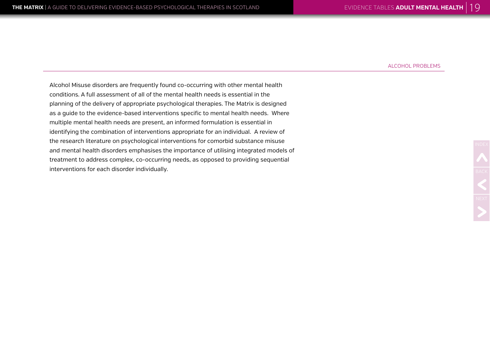Alcohol Misuse disorders are frequently found co-occurring with other mental health conditions. A full assessment of all of the mental health needs is essential in the planning of the delivery of appropriate psychological therapies. The Matrix is designed as a guide to the evidence-based interventions specific to mental health needs. Where multiple mental health needs are present, an informed formulation is essential in identifying the combination of interventions appropriate for an individual. A review of the research literature on psychological interventions for comorbid substance misuse and mental health disorders emphasises the importance of utilising integrated models of treatment to address complex, co-occurring needs, as opposed to providing sequential interventions for each disorder individually.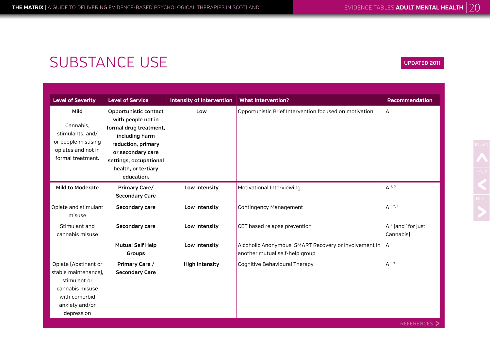| <b>Level of Severity</b>                                                                                                         | <b>Level of Service</b>                                                                                                                                                                           | <b>Intensity of Intervention</b> | <b>What Intervention?</b>                                                               | <b>Recommendation</b>                     |
|----------------------------------------------------------------------------------------------------------------------------------|---------------------------------------------------------------------------------------------------------------------------------------------------------------------------------------------------|----------------------------------|-----------------------------------------------------------------------------------------|-------------------------------------------|
| Mild<br>Cannabis,<br>stimulants, and/<br>or people misusing<br>opiates and not in<br>formal treatment.                           | Opportunistic contact<br>with people not in<br>formal drug treatment,<br>including harm<br>reduction, primary<br>or secondary care<br>settings, occupational<br>health, or tertiary<br>education. | Low                              | Opportunistic Brief Intervention focused on motivation.                                 | A <sup>1</sup>                            |
| <b>Mild to Moderate</b>                                                                                                          | <b>Primary Care/</b><br><b>Secondary Care</b>                                                                                                                                                     | Low Intensity                    | Motivational Interviewing                                                               | $A^{2,3}$                                 |
| Opiate and stimulant<br>misuse                                                                                                   | Secondary care                                                                                                                                                                                    | Low Intensity                    | <b>Contingency Management</b>                                                           | $A^{1, 2, 3}$                             |
| Stimulant and<br>cannabis misuse                                                                                                 | Secondary care                                                                                                                                                                                    | Low Intensity                    | CBT based relapse prevention                                                            | $A^2$ [and ${}^{1}$ for just<br>Cannabis] |
|                                                                                                                                  | <b>Mutual Self Help</b><br>Groups                                                                                                                                                                 | Low Intensity                    | Alcoholic Anonymous, SMART Recovery or involvement in<br>another mutual self-help group | A <sup>1</sup>                            |
| Opiate [Abstinent or<br>stable maintenance).<br>stimulant or<br>cannabis misuse<br>with comorbid<br>anxiety and/or<br>depression | Primary Care /<br><b>Secondary Care</b>                                                                                                                                                           | <b>High Intensity</b>            | Cognitive Behavioural Therapy                                                           | $A^{1, 3}$                                |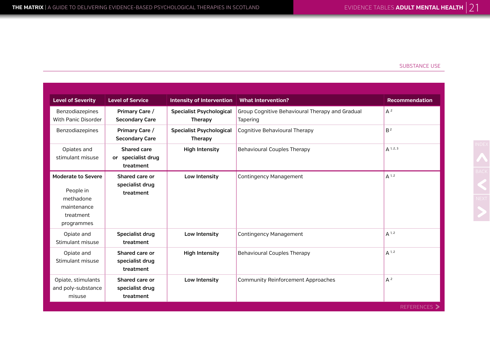| <b>Level of Severity</b>                                                                      | <b>Level of Service</b>                               | <b>Intensity of Intervention</b>           | <b>What Intervention?</b>                                   | <b>Recommendation</b> |
|-----------------------------------------------------------------------------------------------|-------------------------------------------------------|--------------------------------------------|-------------------------------------------------------------|-----------------------|
| Benzodiazepines<br>With Panic Disorder                                                        | Primary Care /<br><b>Secondary Care</b>               | <b>Specialist Psychological</b><br>Therapy | Group Cognitive Behavioural Therapy and Gradual<br>Tapering | $A^2$                 |
| Benzodiazepines                                                                               | Primary Care /<br><b>Secondary Care</b>               | <b>Specialist Psychological</b><br>Therapy | Cognitive Behavioural Therapy                               | B <sup>2</sup>        |
| Opiates and<br>stimulant misuse                                                               | <b>Shared care</b><br>or specialist drug<br>treatment | <b>High Intensity</b>                      | <b>Behavioural Couples Therapy</b>                          | $A^{1, 2, 3}$         |
| <b>Moderate to Severe</b><br>People in<br>methadone<br>maintenance<br>treatment<br>programmes | Shared care or<br>specialist drug<br>treatment        | Low Intensity                              | <b>Contingency Management</b>                               | $A^{1,2}$             |
| Opiate and<br>Stimulant misuse                                                                | Specialist drug<br>treatment                          | Low Intensity                              | <b>Contingency Management</b>                               | $A^{1,2}$             |
| Opiate and<br>Stimulant misuse                                                                | Shared care or<br>specialist drug<br>treatment        | <b>High Intensity</b>                      | <b>Behavioural Couples Therapy</b>                          | $A^{1,2}$             |
| Opiate, stimulants<br>and poly-substance<br>misuse                                            | Shared care or<br>specialist drug<br>treatment        | Low Intensity                              | <b>Community Reinforcement Approaches</b>                   | $A^2$                 |
|                                                                                               |                                                       |                                            |                                                             | REFERENCES >          |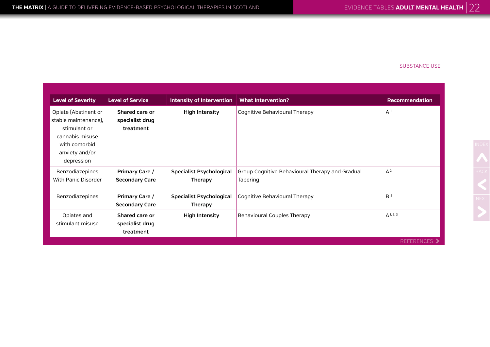| <b>Level of Severity</b>                                                                                                         | <b>Level of Service</b>                        | <b>Intensity of Intervention</b>                  | <b>What Intervention?</b>                                   | <b>Recommendation</b> |
|----------------------------------------------------------------------------------------------------------------------------------|------------------------------------------------|---------------------------------------------------|-------------------------------------------------------------|-----------------------|
| Opiate [Abstinent or<br>stable maintenance),<br>stimulant or<br>cannabis misuse<br>with comorbid<br>anxiety and/or<br>depression | Shared care or<br>specialist drug<br>treatment | <b>High Intensity</b>                             | Cognitive Behavioural Therapy                               | A <sup>1</sup>        |
| Benzodiazepines<br>With Panic Disorder                                                                                           | Primary Care /<br><b>Secondary Care</b>        | <b>Specialist Psychological</b><br><b>Therapy</b> | Group Cognitive Behavioural Therapy and Gradual<br>Tapering | $A^2$                 |
| Benzodiazepines                                                                                                                  | Primary Care /<br><b>Secondary Care</b>        | <b>Specialist Psychological</b><br><b>Therapy</b> | Cognitive Behavioural Therapy                               | B <sup>2</sup>        |
| Opiates and<br>stimulant misuse                                                                                                  | Shared care or<br>specialist drug<br>treatment | <b>High Intensity</b>                             | Behavioural Couples Therapy                                 | $A^{1, 2, 3}$         |
|                                                                                                                                  |                                                |                                                   |                                                             | <b>REFERENCES</b> >   |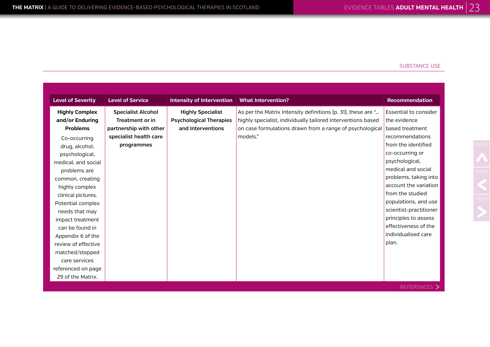| <b>Level of Severity</b> | <b>Level of Service</b>   | <b>Intensity of Intervention</b> | <b>What Intervention?</b>                                    | <b>Recommendation</b>        |
|--------------------------|---------------------------|----------------------------------|--------------------------------------------------------------|------------------------------|
| <b>Highly Complex</b>    | <b>Specialist Alcohol</b> | <b>Highly Specialist</b>         | As per the Matrix Intensity definitions (p. 31), these are " | <b>Essential to consider</b> |
| and/or Enduring          | <b>Treatment or in</b>    | <b>Psychological Therapies</b>   | highly specialist, individually tailored interventions based | the evidence                 |
| <b>Problems</b>          | partnership with other    | and Interventions                | on case formulations drawn from a range of psychological     | based treatment              |
| Co-occurring             | specialist health care    |                                  | models."                                                     | recommendations              |
| drug, alcohol,           | programmes                |                                  |                                                              | from the identified          |
| psychological,           |                           |                                  |                                                              | co-occurring or              |
| medical, and social      |                           |                                  |                                                              | psychological,               |
| problems are             |                           |                                  |                                                              | medical and social           |
| common, creating         |                           |                                  |                                                              | problems, taking into        |
| highly complex           |                           |                                  |                                                              | account the variation        |
| clinical pictures.       |                           |                                  |                                                              | from the studied             |
| Potential complex        |                           |                                  |                                                              | populations, and use         |
| needs that may           |                           |                                  |                                                              | scientist-practitioner       |
| impact treatment         |                           |                                  |                                                              | principles to assess         |
| can be found in          |                           |                                  |                                                              | effectiveness of the         |
| Appendix 6 of the        |                           |                                  |                                                              | individualised care          |
| review of effective      |                           |                                  |                                                              | plan.                        |
| matched/stepped          |                           |                                  |                                                              |                              |
| care services            |                           |                                  |                                                              |                              |
| referenced on page       |                           |                                  |                                                              |                              |
| 29 of the Matrix.        |                           |                                  |                                                              |                              |

REFERENCES >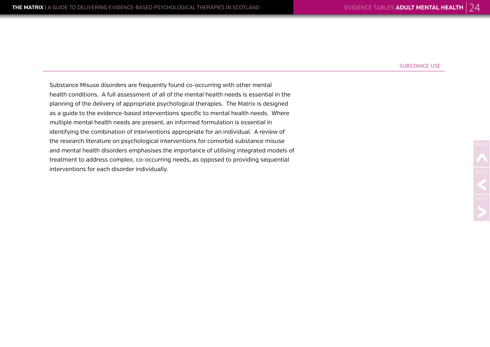Substance Misuse disorders are frequently found co-occurring with other mental health conditions. A full assessment of all of the mental health needs is essential in the planning of the delivery of appropriate psychological therapies. The Matrix is designed as a guide to the evidence-based interventions specific to mental health needs. Where multiple mental health needs are present, an informed formulation is essential in identifying the combination of interventions appropriate for an individual. A review of the research literature on psychological interventions for comorbid substance misuse and mental health disorders emphasises the importance of utilising integrated models of treatment to address complex, co-occurring needs, as opposed to providing sequential interventions for each disorder individually.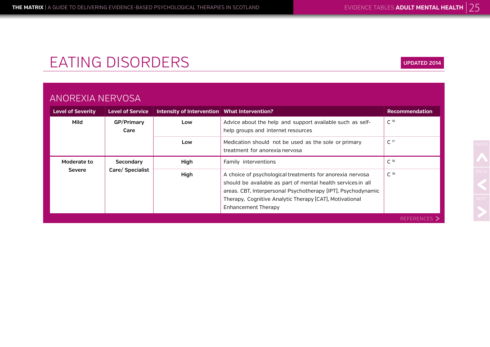# EATING DISORDERS

### ANOREXIA NERVOSA

| <b>Level of Severity</b> | <b>Level of Service</b> | Intensity of Intervention   What Intervention? |                                                                                                                                                                                                                                                                                    | <b>Recommendation</b> |
|--------------------------|-------------------------|------------------------------------------------|------------------------------------------------------------------------------------------------------------------------------------------------------------------------------------------------------------------------------------------------------------------------------------|-----------------------|
| Mild                     | GP/Primary<br>Care      | Low                                            | Advice about the help and support available such as self-<br>help groups and internet resources                                                                                                                                                                                    | C <sup>18</sup>       |
|                          |                         | Low                                            | Medication should not be used as the sole or primary<br>treatment for anorexia nervosa                                                                                                                                                                                             | C <sup>17</sup>       |
| Moderate to              | Secondary               | High                                           | Family interventions                                                                                                                                                                                                                                                               | C <sup>18</sup>       |
| <b>Severe</b>            | Care/ Specialist        | High                                           | A choice of psychological treatments for anorexia nervosa<br>should be available as part of mental health services in all<br>areas. CBT, Interpersonal Psychotherapy (IPT), Psychodynamic<br>Therapy, Cognitive Analytic Therapy (CAT), Motivational<br><b>Enhancement Therapy</b> | C <sup>18</sup>       |
|                          |                         |                                                |                                                                                                                                                                                                                                                                                    | REFERENCES 2          |

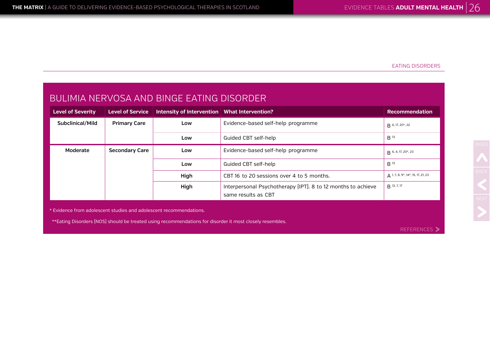#### EATING DISORDERS

| BULIMIA NERVOSA AND BINGE EATING DISORDER |                         |                                                |                                                                                     |                                           |  |
|-------------------------------------------|-------------------------|------------------------------------------------|-------------------------------------------------------------------------------------|-------------------------------------------|--|
| <b>Level of Severity</b>                  | <b>Level of Service</b> | Intensity of Intervention   What Intervention? |                                                                                     | <b>Recommendation</b>                     |  |
| Subclinical/Mild                          | <b>Primary Care</b>     | Low                                            | Evidence-based self-help programme                                                  | <b>R</b> 6, 17, 20*, 22                   |  |
|                                           |                         | Low                                            | Guided CBT self-help                                                                | B <sup>13</sup>                           |  |
| Moderate                                  | <b>Secondary Care</b>   | Low                                            | Evidence-based self-help programme                                                  | R 6, 4, 17, 20*, 23                       |  |
|                                           |                         | Low                                            | Guided CBT self-help                                                                | B <sup>13</sup>                           |  |
|                                           |                         | High                                           | CBT 16 to 20 sessions over 4 to 5 months.                                           | $\Delta$ 1, 7, 8, 9*, 14*, 15, 17, 21, 23 |  |
|                                           |                         | High                                           | Interpersonal Psychotherapy (IPT). 8 to 12 months to achieve<br>same results as CBT | B 13, 7, 17                               |  |

\* Evidence from adolescent studies and adolescent recommendations.

\*\*Eating Disorders (NOS) should be treated using recommendations for disorder it most closely resembles.

REFERENCES >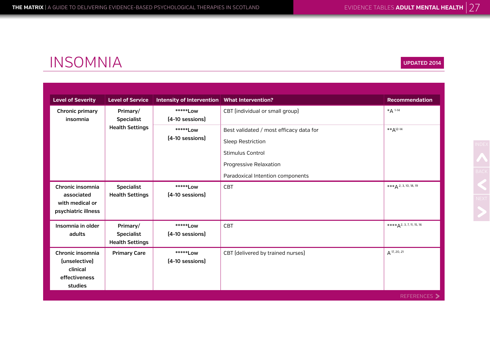**UPDATED 2014**

## INSOMNIA

| <b>Level of Severity</b>                                                  | <b>Level of Service</b>                                 | Intensity of Intervention   What Intervention? |                                                                                                                                                              | <b>Recommendation</b>      |
|---------------------------------------------------------------------------|---------------------------------------------------------|------------------------------------------------|--------------------------------------------------------------------------------------------------------------------------------------------------------------|----------------------------|
| Chronic primary<br>insomnia                                               | Primary/<br><b>Specialist</b>                           | ******Low<br>[4-10 sessions]                   | CBT (individual or small group)                                                                                                                              | *A 1-14                    |
|                                                                           | <b>Health Settings</b>                                  | *****Low<br>[4-10 sessions]                    | Best validated / most efficacy data for<br><b>Sleep Restriction</b><br><b>Stimulus Control</b><br>Progressive Relaxation<br>Paradoxical Intention components | $*$ * $A$ <sup>12-14</sup> |
| Chronic insomnia<br>associated<br>with medical or<br>psychiatric illness  | <b>Specialist</b><br><b>Health Settings</b>             | *****Low<br>[4-10 sessions]                    | <b>CBT</b>                                                                                                                                                   | $***A$ 2, 3, 10, 18, 19    |
| Insomnia in older<br>adults                                               | Primary/<br><b>Specialist</b><br><b>Health Settings</b> | ******Low<br>$[4-10$ sessions]                 | <b>CBT</b>                                                                                                                                                   | $***A2, 3, 7, 11, 15, 16$  |
| Chronic insomnia<br>(unselective)<br>clinical<br>effectiveness<br>studies | <b>Primary Care</b>                                     | *****Low<br>[4-10 sessions]                    | CBT (delivered by trained nurses)                                                                                                                            | A 17, 20, 21               |
|                                                                           |                                                         |                                                |                                                                                                                                                              | REFERENCES >               |

NDEX<br>BACK<br>NEXT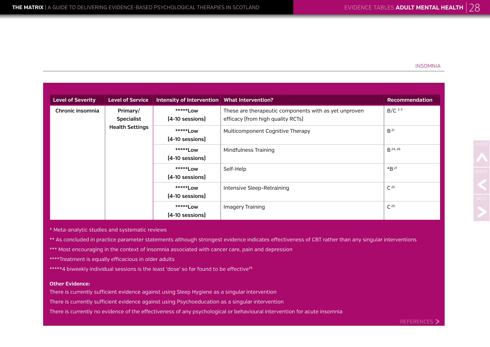#### INSOMNIA

| <b>Level of Severity</b> | <b>Level of Service</b>       | Intensity of Intervention   What Intervention? |                                                                                            | <b>Recommendation</b> |  |  |  |  |  |  |                             |           |                  |                             |                      |                 |
|--------------------------|-------------------------------|------------------------------------------------|--------------------------------------------------------------------------------------------|-----------------------|--|--|--|--|--|--|-----------------------------|-----------|------------------|-----------------------------|----------------------|-----------------|
| Chronic insomnia         | Primary/<br><b>Specialist</b> | *****Low<br>$[4-10$ sessions]                  | These are therapeutic components with as yet unproven<br>efficacy (from high quality RCTs) | $B/C$ <sup>2-3</sup>  |  |  |  |  |  |  |                             |           |                  |                             |                      |                 |
|                          | <b>Health Settings</b>        | *****Low<br>[4-10 sessions]                    | Multicomponent Cognitive Therapy                                                           | B <sup>21</sup>       |  |  |  |  |  |  |                             |           |                  |                             |                      |                 |
|                          |                               |                                                |                                                                                            |                       |  |  |  |  |  |  |                             |           |                  | *****Low<br>[4-10 sessions] | Mindfulness Training | <b>B</b> 24, 26 |
|                          |                               |                                                |                                                                                            |                       |  |  |  |  |  |  | *****Low<br>[4-10 sessions] | Self-Help | *B <sup>27</sup> |                             |                      |                 |
|                          |                               | *****Low<br>[4-10 sessions]                    | Intensive Sleep-Retraining                                                                 | $C^{22}$              |  |  |  |  |  |  |                             |           |                  |                             |                      |                 |
|                          |                               | *****Low<br>[4-10 sessions]                    | Imagery Training                                                                           | $C^{25}$              |  |  |  |  |  |  |                             |           |                  |                             |                      |                 |

\* Meta-analytic studies and systematic reviews

\*\* As concluded in practice parameter statements although strongest evidence indicates effectiveness of CBT rather than any singular interventions

\*\*\* Most encouraging in the context of insomnia associated with cancer care, pain and depression

\*\*\*\*Treatment is equally efficacious in older adults

\*\*\*\*\*4 biweekly individual sessions is the least 'dose' so far found to be effective<sup>28</sup>

#### **Other Evidence:**

There is currently sufficient evidence against using Sleep Hygiene as a singular intervention

There is currently sufficient evidence against using Psychoeducation as a singular intervention

There is currently no evidence of the effectiveness of any psychological or behavioural intervention for acute insomnia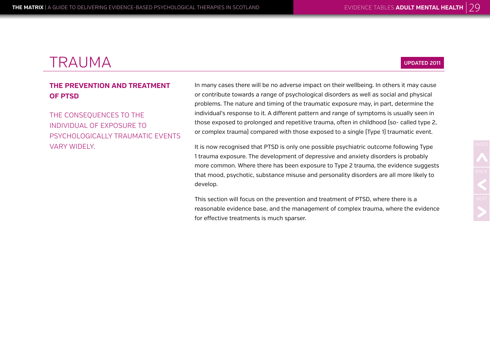### **THE PREVENTION AND TREATMENT OF PTSD**

THE CONSEQUENCES TO THE INDIVIDUAL OF EXPOSURE TO PSYCHOLOGICALLY TRAUMATIC EVENTS VARY WIDELY.

In many cases there will be no adverse impact on their wellbeing. In others it may cause or contribute towards a range of psychological disorders as well as social and physical problems. The nature and timing of the traumatic exposure may, in part, determine the individual's response to it. A different pattern and range of symptoms is usually seen in those exposed to prolonged and repetitive trauma, often in childhood (so- called type 2, or complex trauma) compared with those exposed to a single (Type 1) traumatic event.

It is now recognised that PTSD is only one possible psychiatric outcome following Type 1 trauma exposure. The development of depressive and anxiety disorders is probably more common. Where there has been exposure to Type 2 trauma, the evidence suggests that mood, psychotic, substance misuse and personality disorders are all more likely to develop.

This section will focus on the prevention and treatment of PTSD, where there is a reasonable evidence base, and the management of complex trauma, where the evidence for effective treatments is much sparser.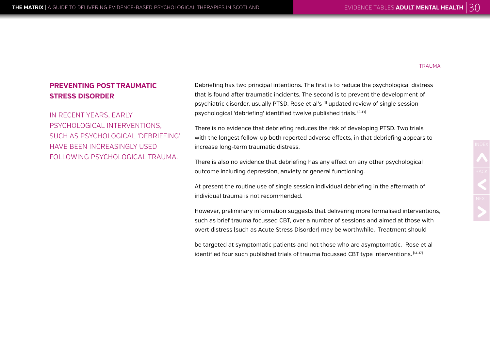### **PREVENTING POST TRAUMATIC STRESS DISORDER**

IN RECENT YEARS, EARLY PSYCHOLOGICAL INTERVENTIONS, SUCH AS PSYCHOLOGICAL 'DEBRIEFING' HAVE BEEN INCREASINGLY USED FOLLOWING PSYCHOLOGICAL TRAUMA.

Debriefing has two principal intentions. The first is to reduce the psychological distress that is found after traumatic incidents. The second is to prevent the development of psychiatric disorder, usually PTSD. Rose et al's <sup>[1]</sup> updated review of single session psychological 'debriefing' identified twelve published trials. (2-13)

There is no evidence that debriefing reduces the risk of developing PTSD. Two trials with the longest follow-up both reported adverse effects, in that debriefing appears to increase long-term traumatic distress.

There is also no evidence that debriefing has any effect on any other psychological outcome including depression, anxiety or general functioning.

At present the routine use of single session individual debriefing in the aftermath of individual trauma is not recommended.

However, preliminary information suggests that delivering more formalised interventions, such as brief trauma focussed CBT, over a number of sessions and aimed at those with overt distress (such as Acute Stress Disorder) may be worthwhile. Treatment should

be targeted at symptomatic patients and not those who are asymptomatic. Rose et al identified four such published trials of trauma focussed CBT type interventions. [14-17]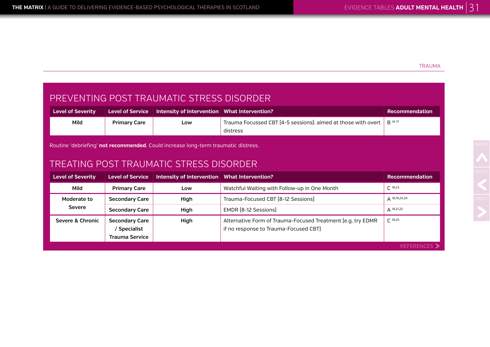### PREVENTING POST TRAUMATIC STRESS DISORDER

| <b>Level of Severity</b> |                     | Level of Service $\; \;$ Intensity of Intervention $\;$ What Intervention? |                                                                                              | Recommendation |
|--------------------------|---------------------|----------------------------------------------------------------------------|----------------------------------------------------------------------------------------------|----------------|
| Mild                     | <b>Primary Care</b> | Low                                                                        | Trauma Focussed CBT [4-5 sessions]: aimed at those with overt $\parallel$ B <sup>14-17</sup> |                |
|                          |                     |                                                                            | distress                                                                                     |                |

Routine 'debriefing' **not recommended**. Could increase long-term traumatic distress.

### TREATING POST TRAUMATIC STRESS DISORDER

| <b>Level of Severity</b> | Level of Service                                               | Intensity of Intervention   What Intervention? |                                                                                                      | <b>Recommendation</b>  |
|--------------------------|----------------------------------------------------------------|------------------------------------------------|------------------------------------------------------------------------------------------------------|------------------------|
| Mild                     | <b>Primary Care</b>                                            | Low                                            | Watchful Waiting with Follow-up in One Month                                                         | $C^{18,23}$            |
| Moderate to              | <b>Secondary Care</b>                                          | High                                           | Trauma-Focused CBT [8-12 Sessions]                                                                   | △ 18,19,20,24          |
| Severe                   | <b>Secondary Care</b>                                          | High                                           | EMDR [8-12 Sessions]                                                                                 | $A^{18,21,22}$         |
| Severe & Chronic         | <b>Secondary Care</b><br>Specialist /<br><b>Trauma Service</b> | High                                           | Alternative Form of Trauma-Focused Treatment [e.g. try EDMR<br>if no response to Trauma-Focused CBT) | $C$ 18,25              |
|                          |                                                                |                                                |                                                                                                      | <b>REFERENCES &gt;</b> |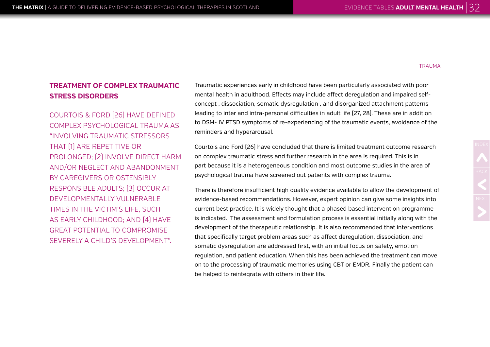### **TREATMENT OF COMPLEX TRAUMATIC STRESS DISORDERS**

COURTOIS & FORD (26) HAVE DEFINED COMPLEX PSYCHOLOGICAL TRAUMA AS "INVOLVING TRAUMATIC STRESSORS THAT (1) ARE REPETITIVE OR PROLONGED; (2) INVOLVE DIRECT HARM AND/OR NEGLECT AND ABANDONMENT BY CAREGIVERS OR OSTENSIBLY RESPONSIBLE ADULTS; (3) OCCUR AT DEVELOPMENTALLY VULNERABLE TIMES IN THE VICTIM'S LIFE, SUCH AS EARLY CHILDHOOD; AND (4) HAVE GREAT POTENTIAL TO COMPROMISE SEVERELY A CHILD'S DEVELOPMENT".

Traumatic experiences early in childhood have been particularly associated with poor mental health in adulthood. Effects may include affect deregulation and impaired selfconcept , dissociation, somatic dysregulation , and disorganized attachment patterns leading to inter and intra-personal difficulties in adult life (27, 28). These are in addition to DSM- IV PTSD symptoms of re-experiencing of the traumatic events, avoidance of the reminders and hyperarousal.

Courtois and Ford (26) have concluded that there is limited treatment outcome research on complex traumatic stress and further research in the area is required. This is in part because it is a heterogeneous condition and most outcome studies in the area of psychological trauma have screened out patients with complex trauma.

There is therefore insufficient high quality evidence available to allow the development of evidence-based recommendations. However, expert opinion can give some insights into current best practice. It is widely thought that a phased based intervention programme is indicated. The assessment and formulation process is essential initially along with the development of the therapeutic relationship. It is also recommended that interventions that specifically target problem areas such as affect deregulation, dissociation, and somatic dysregulation are addressed first, with an initial focus on safety, emotion regulation, and patient education. When this has been achieved the treatment can move on to the processing of traumatic memories using CBT or EMDR. Finally the patient can be helped to reintegrate with others in their life.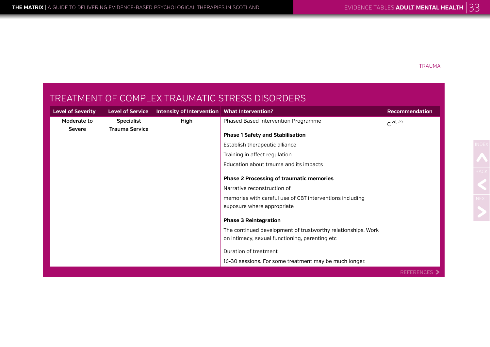### TREATMENT OF COMPLEX TRAUMATIC STRESS DISORDERS

| <b>Level of Severity</b> | <b>Level of Service</b> | Intensity of Intervention   What Intervention? |                                                              | <b>Recommendation</b> |
|--------------------------|-------------------------|------------------------------------------------|--------------------------------------------------------------|-----------------------|
| Moderate to              | <b>Specialist</b>       | High                                           | Phased Based Intervention Programme                          | $C^{26, 29}$          |
| <b>Severe</b>            | <b>Trauma Service</b>   |                                                | <b>Phase 1 Safety and Stabilisation</b>                      |                       |
|                          |                         |                                                |                                                              |                       |
|                          |                         |                                                | Establish therapeutic alliance                               |                       |
|                          |                         |                                                | Training in affect regulation                                |                       |
|                          |                         |                                                | Education about trauma and its impacts                       |                       |
|                          |                         |                                                | <b>Phase 2 Processing of traumatic memories</b>              |                       |
|                          |                         |                                                | Narrative reconstruction of                                  |                       |
|                          |                         |                                                | memories with careful use of CBT interventions including     |                       |
|                          |                         |                                                | exposure where appropriate                                   |                       |
|                          |                         |                                                | <b>Phase 3 Reintegration</b>                                 |                       |
|                          |                         |                                                | The continued development of trustworthy relationships. Work |                       |
|                          |                         |                                                | on intimacy, sexual functioning, parenting etc               |                       |
|                          |                         |                                                | Duration of treatment                                        |                       |
|                          |                         |                                                |                                                              |                       |
|                          |                         |                                                | 16-30 sessions. For some treatment may be much longer.       |                       |
|                          |                         |                                                |                                                              | REFERENCES >          |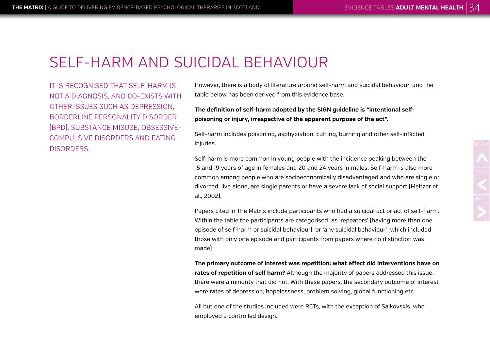## SELF-HARM AND SUICIDAL BEHAVIOUR

IT IS RECOGNISED THAT SELF-HARM IS NOT A DIAGNOSIS, AND CO-EXISTS WITH OTHER ISSUES SUCH AS DEPRESSION, BORDERLINE PERSONALITY DISORDER (BPD), SUBSTANCE MISUSE, OBSESSIVE-COMPULSIVE DISORDERS AND EATING DISORDERS.

However, there is a body of literature around self-harm and suicidal behaviour, and the table below has been derived from this evidence base.

**The definition of self-harm adopted by the SIGN guideline is "intentional selfpoisoning or injury, irrespective of the apparent purpose of the act".** 

Self-harm includes poisoning, asphyxiation, cutting, burning and other self-inflicted injuries.

Self-harm is more common in young people with the incidence peaking between the 15 and 19 years of age in females and 20 and 24 years in males. Self-harm is also more common among people who are socioeconomically disadvantaged and who are single or divorced, live alone, are single parents or have a severe lack of social support (Meltzer et al., 2002).

Papers cited in The Matrix include participants who had a suicidal act or act of self-harm. Within the table the participants are categorised as 'repeaters' (having more than one episode of self-harm or suicidal behaviour), or 'any suicidal behaviour' (which included those with only one episode and participants from papers where no distinction was made)

**The primary outcome of interest was repetition: what effect did interventions have on rates of repetition of self harm?** Although the majority of papers addressed this issue, there were a minority that did not. With these papers, the secondary outcome of interest were rates of depression, hopelessness, problem solving, global functioning etc.

All but one of the studies included were RCTs, with the exception of Salkovskis, who employed a controlled design.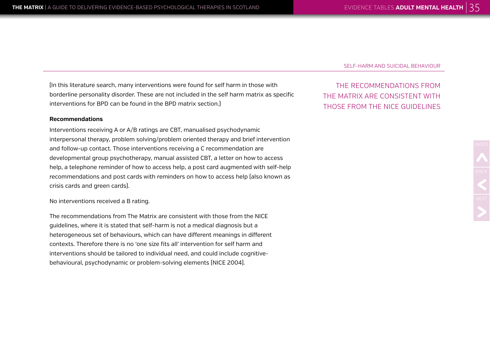SELF-HARM AND SUICIDAL BEHAVIOUR

THE RECOMMENDATIONS FROM THE MATRIX ARE CONSISTENT WITH THOSE FROM THE NICE GUIDELINES

(In this literature search, many interventions were found for self harm in those with borderline personality disorder. These are not included in the self harm matrix as specific interventions for BPD can be found in the BPD matrix section.)

#### **Recommendations**

Interventions receiving A or A/B ratings are CBT, manualised psychodynamic interpersonal therapy, problem solving/problem oriented therapy and brief intervention and follow-up contact. Those interventions receiving a C recommendation are developmental group psychotherapy, manual assisted CBT, a letter on how to access help, a telephone reminder of how to access help, a post card augmented with self-help recommendations and post cards with reminders on how to access help (also known as crisis cards and green cards).

No interventions received a B rating.

The recommendations from The Matrix are consistent with those from the NICE guidelines, where it is stated that self-harm is not a medical diagnosis but a heterogeneous set of behaviours, which can have different meanings in different contexts. Therefore there is no 'one size fits all' intervention for self harm and interventions should be tailored to individual need, and could include cognitivebehavioural, psychodynamic or problem-solving elements (NICE 2004).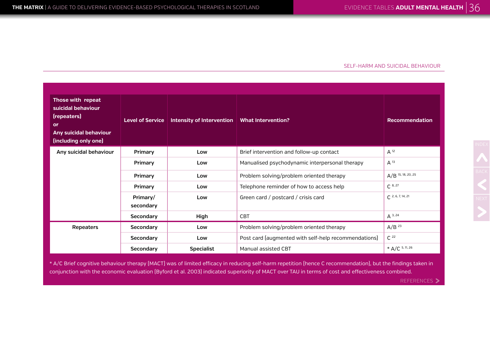#### SELF-HARM AND SUICIDAL BEHAVIOUR

| Those with repeat<br>suicidal behaviour<br>(repeaters)<br>or<br>Any suicidal behaviour<br>(including only one) | <b>Level of Service</b> | Intensity of Intervention | <b>What Intervention?</b>                            | <b>Recommendation</b> |
|----------------------------------------------------------------------------------------------------------------|-------------------------|---------------------------|------------------------------------------------------|-----------------------|
| Any suicidal behaviour                                                                                         | Primary                 | Low                       | Brief intervention and follow-up contact             | $A^{12}$              |
|                                                                                                                | Primary                 | Low                       | Manualised psychodynamic interpersonal therapy       | $A^{13}$              |
|                                                                                                                | Primary                 | Low                       | Problem solving/problem oriented therapy             | $A/B$ 15, 18, 20, 25  |
|                                                                                                                | Primary                 | Low                       | Telephone reminder of how to access help             | $C^{8, 27}$           |
|                                                                                                                | Primary/<br>secondary   | Low                       | Green card / postcard / crisis card                  | $C$ 2, 6, 7, 14, 21   |
|                                                                                                                | Secondary               | High                      | <b>CBT</b>                                           | $A^{3,24}$            |
| <b>Repeaters</b>                                                                                               | Secondary               | Low                       | Problem solving/problem oriented therapy             | A/B <sup>23</sup>     |
|                                                                                                                | Secondary               | Low                       | Post card (augmented with self-help recommendations) | $C^{22}$              |
|                                                                                                                | Secondary               | <b>Specialist</b>         | Manual assisted CBT                                  | * $A/C$ 5, 11, 26     |

\* A/C Brief cognitive behaviour therapy (MACT) was of limited efficacy in reducing self-harm repetition (hence C recommendation), but the findings taken in conjunction with the economic evaluation (Byford et al. 2003) indicated superiority of MACT over TAU in terms of cost and effectiveness combined.

REFERENCES >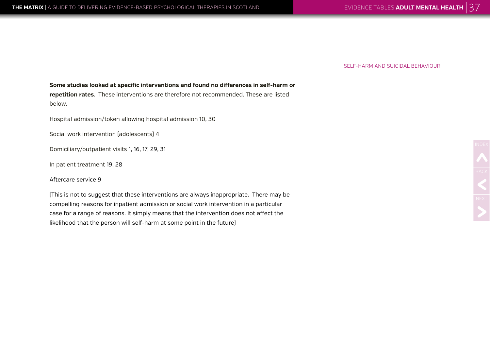SELF-HARM AND SUICIDAL BEHAVIOUR

**Some studies looked at specific interventions and found no differences in self-harm or repetition rates**. These interventions are therefore not recommended. These are listed below.

Hospital admission/token allowing hospital admission 10, 30

Social work intervention (adolescents) 4

Domiciliary/outpatient visits 1, 16, 17, 29, 31

In patient treatment 19, 28

Aftercare service 9

(This is not to suggest that these interventions are always inappropriate. There may be compelling reasons for inpatient admission or social work intervention in a particular case for a range of reasons. It simply means that the intervention does not affect the likelihood that the person will self-harm at some point in the future)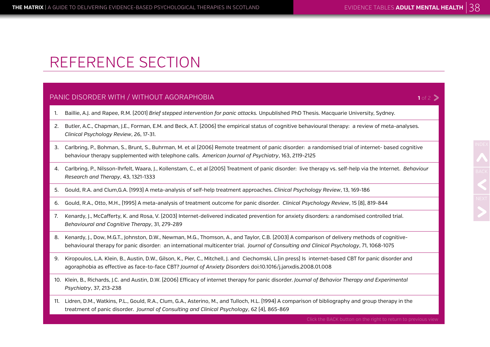**1** of  $2$   $\triangleright$ 

# REFERENCE SECTION

#### PANIC DISORDER WITH / WITHOUT AGORAPHOBIA

- 1. Baillie, A.J. and Rapee, R.M. (2001) *Brief stepped intervention for panic attacks.* Unpublished PhD Thesis. Macquarie University, Sydney.
- 2. Butler, A.C., Chapman, J.E., Forman, E.M. and Beck, A.T. (2006) the empirical status of cognitive behavioural therapy: a review of meta-analyses. *Clinical Psychology Review*, 26, 17-31.
- 3. Carlbring, P., Bohman, S., Brunt, S., Buhrman, M. et al (2006) Remote treatment of panic disorder: a randomised trial of internet- based cognitive behaviour therapy supplemented with telephone calls. *American Journal of Psychiatry*, 163, 2119-2125
- 4. Carlbring, P., Nilsson-lhrfelt, Waara, J., Kollenstam, C., et al (2005) Treatment of panic disorder: live therapy vs. self-help via the Internet. *Behaviour Research and Therapy*, 43, 1321-1333
- 5. Gould, R.A. and Clum,G.A. (1993) A meta-analysis of self-help treatment approaches. *Clinical Psychology Review*, 13, 169-186
- 6. Gould, R.A., Otto, M.H., (1995) A meta-analysis of treatment outcome for panic disorder. *Clinical Psychology Review*, 15 (8), 819-844
- 7. Kenardy, J., McCafferty, K. and Rosa, V. (2003) Internet-delivered indicated prevention for anxiety disorders: a randomised controlled trial. *Behavioural and Cognitive Therapy*, 31, 279-289
- 8. Kenardy, J., Dow, M.G.T., Johnston, D.W., Newman, M.G., Thomson, A., and Taylor, C.B. (2003) A comparison of delivery methods of cognitivebehavioural therapy for panic disorder: an international multicenter trial. *Journal of Consulting and Clinical Psychology*, 71, 1068-1075
- 9. Kiropoulos, L.A. Klein, B., Austin, D.W., Gilson, K., Pier, C., Mitchell, J. and Ciechomski, L.(in press) Is internet-based CBT for panic disorder and agoraphobia as effective as face-to-face CBT? *Journal of Anxiety Disorders* doi:10.1016/j.janxdis.2008.01.008
- 10. Klein, B., Richards, J.C. and Austin, D.W. (2006) Efficacy of internet therapy for panic disorder. *Journal of Behavior Therapy and Experimental Psychiatry*, 37, 213-238
- 11. Lidren, D.M., Watkins, P.L., Gould, R.A., Clum, G.A., Asterino, M., and Tulloch, H.L. (1994) A comparison of bibliography and group therapy in the treatment of panic disorder. *Journal of Consulting and Clinical Psychology*, 62 (4), 865-869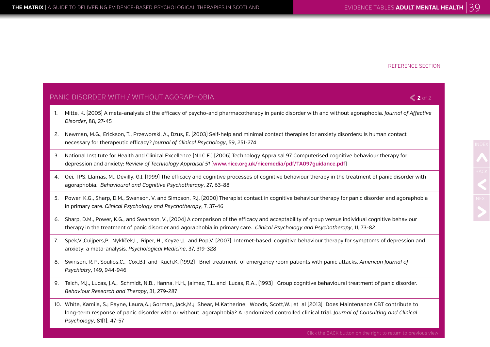**2** of 2

#### PANIC DISORDER WITH / WITHOUT AGORAPHOBIA

- 1. Mitte, K. (2005) A meta-analysis of the efficacy of psycho-and pharmacotherapy in panic disorder with and without agoraphobia. *Journal of Affective Disorder*, 88, 27-45
- 2. Newman, M.G., Erickson, T., Przeworski, A., Dzus, E. (2003) Self-help and minimal contact therapies for anxiety disorders: Is human contact necessary for therapeutic efficacy? *Journal of Clinical Psychology*, 59, 251-274
- 3. National Institute for Health and Clinical Excellence (N.I.C.E.) (2006) Technology Appraisal 97 Computerised cognitive behaviour therapy for depression and anxiety: *Review of Technology Appraisal 51* (**www.nice.org.uk/nicemedia/pdf/TA097guidance.pdf**)
- 4. Oei, TPS, Llamas, M., Devilly, G.J. (1999) The efficacy and cognitive processes of cognitive behaviour therapy in the treatment of panic disorder with agoraphobia. *Behavioural and Cognitive Psychotherapy*, 27, 63-88
- 5. Power, K.G., Sharp, D.M., Swanson, V. and Simpson, R.J. (2000) Therapist contact in cognitive behaviour therapy for panic disorder and agoraphobia in primary care. *Clinical Psychology and Psychotherapy*, 7, 37-46
- 6. Sharp, D.M., Power, K.G., and Swanson, V., (2004) A comparison of the efficacy and acceptability of group versus individual cognitive behaviour therapy in the treatment of panic disorder and agoraphobia in primary care. *Clinical Psychology and Psychotherapy*, 11, 73-82
- 7. Spek,V.,Cuijpers,P. Nyklíček,I., Riper, H., Keyzer,J. and Pop,V. (2007) Internet-based cognitive behaviour therapy for symptoms of depression and anxiety: a meta-analysis. *Psychological Medicine*, 37, 319-328
- 8. Swinson, R.P., Soulios,C., Cox,B.J. and Kuch,K. (1992) Brief treatment of emergency room patients with panic attacks. *American Journal of Psychiatry*, 149, 944-946
- 9. Telch, M.J., Lucas, J.A., Schmidt, N.B., Hanna, H.H., Jaimez, T.L. and Lucas, R.A., (1993) Group cognitive behavioural treatment of panic disorder. *Behaviour Research and Therapy*, 31, 279-287
- 10. White, Kamila, S.; Payne, Laura,A.; Gorman, Jack,M.; Shear, M.Katherine; Woods, Scott,W.; et al (2013) Does Maintenance CBT contribute to long-term response of panic disorder with or without agoraphobia? A randomized controlled clinical trial. *Journal of Consulting and Clinical Psychology*, 81(1), 47-57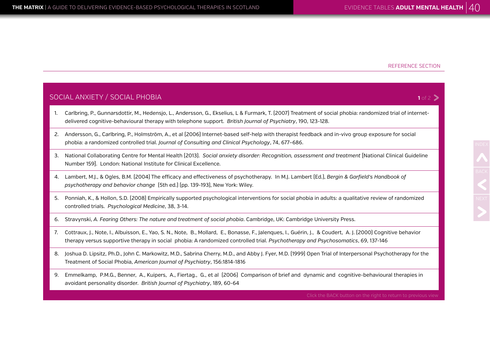SOCIA<sup></sup>

#### REFERENCE SECTION

|    | <u> OCIAL ANXIETY / SOCIAL PHOBIA</u><br>1 of 2                                                                                                                                                                                                                                                  |  |  |
|----|--------------------------------------------------------------------------------------------------------------------------------------------------------------------------------------------------------------------------------------------------------------------------------------------------|--|--|
|    | Carlbring, P., Gunnarsdottir, M., Hedensjo, L., Andersson, G., Ekselius, L & Furmark, T. (2007) Treatment of social phobia: randomized trial of internet-<br>delivered cognitive-behavioural therapy with telephone support. British Journal of Psychiatry, 190, 123-128.                        |  |  |
| 2. | Andersson, G., Carlbring, P., Holmström, A., et al (2006) Internet-based self-help with therapist feedback and in-vivo group exposure for social<br>phobia: a randomized controlled trial. Journal of Consulting and Clinical Psychology, 74, 677-686.                                           |  |  |
|    | 3. National Collaborating Centre for Mental Health [2013]. Social anxiety disorder: Recognition, assessment and treatment [National Clinical Guideline<br>Number 159]. London: National Institute for Clinical Excellence.                                                                       |  |  |
|    | 4. Lambert, M.J., & Ogles, B.M. [2004] The efficacy and effectiveness of psychotherapy. In M.J. Lambert [Ed.], Bergin & Garfield's Handbook of<br>psychotherapy and behavior change [5th ed.] [pp. 139-193], New York: Wiley.                                                                    |  |  |
|    | 5. Ponniah, K., & Hollon, S.D. (2008) Empirically supported psychological interventions for social phobia in adults: a qualitative review of randomized<br>controlled trials. Psychological Medicine, 38, 3-14.                                                                                  |  |  |
|    | 6. Stravynski, A. Fearing Others: The nature and treatment of social phobia. Cambridge, UK: Cambridge University Press.                                                                                                                                                                          |  |  |
| 7. | Cottraux, J., Note, I., Albuisson, E., Yao, S. N., Note, B., Mollard, E., Bonasse, F., Jalenques, I., Guérin, J., & Coudert, A. J. (2000) Cognitive behavior<br>therapy versus supportive therapy in social phobia: A randomized controlled trial. Psychotherapy and Psychosomatics, 69, 137-146 |  |  |
|    | 0 Legislav D. Lingits, Dk.D. John C. Moulesvits, M.D. Columnes M.D. and Alghert Even M.D. (1000) Onen Tuid of International Development Courties                                                                                                                                                 |  |  |

- 8. Joshua D. Lipsitz, Ph.D., John C. Markowitz, M.D., Sabrina Cherry, M.D., and Abby J. Fyer, M.D. (1999) Open Trial of Interpersonal Psychotherapy for the Treatment of Social Phobia, *American Journal of Psychiatry*, 156:1814-1816
- 9. Emmelkamp, P.M.G., Benner, A., Kuipers, A., Fiertag., G., et al (2006) Comparison of brief and dynamic and cognitive-behavioural therapies in avoidant personality disorder. *British Journal of Psychiatry*, 189, 60-64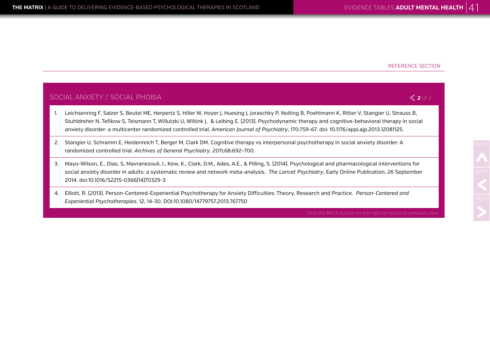**2** of 2

#### SOCIAL ANXIETY / SOCIAL PHOBIA

- 1. Leichsenring F, Salzer S, Beutel ME, Herpertz S, Hiller W, Hoyer J, Huesing J, Joraschky P, Nolting B, Poehlmann K, Ritter V, Stangier U, Strauss B, Stuhldreher N, Tefikow S, Teismann T, Willutzki U, Wiltink J, & Leibing E. (2013). Psychodynamic therapy and cognitive-behavioral therapy in social anxiety disorder: a multicenter randomized controlled trial. *American Journal of Psychiatry*, 170:759-67. doi: 10.1176/appi.ajp.2013.12081125.
- 2. Stangier U, Schramm E, Heidenreich T, Berger M, Clark DM. Cognitive therapy vs interpersonal psychotherapy in social anxiety disorder: A randomized controlled trial. *Archives of General Psychiatry*. 2011;68:692–700.
- 3. Mayo-Wilson, E., Dias, S, Mavranezouli, I., Kew, K., Clark, D.M., Ades, A.E., & Pilling, S. (2014). Psychological and pharmacological interventions for social anxiety disorder in adults: a systematic review and network meta-analysis. *The Lancet Psychiatry*, Early Online Publication, 26 September 2014. doi:10.1016/S2215-0366(14)70329-3
- 4. Elliott, R. (2013). Person-Centered-Experiential Psychotherapy for Anxiety Difficulties: Theory, Research and Practice. *Person-Centered and Experiential Psychotherapies*, 12, 14-30. DOI:10.1080/14779757.2013.767750

Click the BACK button on the right to return to previous view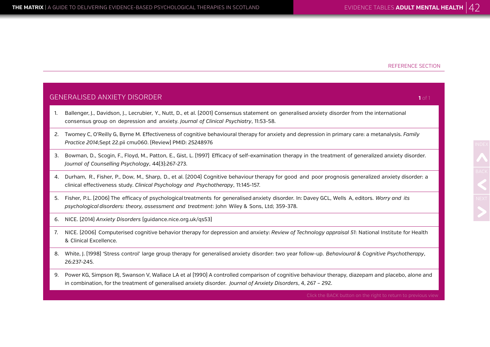NDEX<br>BACK<br>NEXT

|    | GENERALISED ANXIETY DISORDER<br>$1$ of 1                                                                                                                                                                                                     |  |  |
|----|----------------------------------------------------------------------------------------------------------------------------------------------------------------------------------------------------------------------------------------------|--|--|
| 1. | Ballenger, J., Davidson, J., Lecrubier, Y., Nutt, D., et al. (2001) Consensus statement on generalised anxiety disorder from the international<br>consensus group on depression and anxiety. Journal of Clinical Psychiatry, 11:53-58.       |  |  |
| 2. | Twomey C, O'Reilly G, Byrne M. Effectiveness of cognitive behavioural therapy for anxiety and depression in primary care: a metanalysis. Family<br>Practice 2014;Sept 22.pii cmu060. [Review] PMID: 25248976                                 |  |  |
| 3. | Bowman, D., Scogin, F., Floyd, M., Patton, E., Gist, L. (1997) Efficacy of self-examination therapy in the treatment of generalized anxiety disorder.<br>Journal of Counselling Psychology, 44(3):267-273.                                   |  |  |
| 4. | Durham, R., Fisher, P., Dow, M., Sharp, D., et al. [2004] Cognitive behaviour therapy for good and poor prognosis generalized anxiety disorder: a<br>clinical effectiveness study. Clinical Psychology and Psychotherapy, 11:145-157.        |  |  |
| 5. | Fisher, P.L. (2006) The efficacy of psychological treatments for generalised anxiety disorder. In: Davey GCL, Wells A, editors. Worry and its<br>psychological disorders: theory, assessment and treatment: John Wiley & Sons, Ltd; 359-378. |  |  |
| 6. | NICE. [2014] Anxiety Disorders [guidance.nice.org.uk/qs53]                                                                                                                                                                                   |  |  |
| 7. | NICE. [2006] Computerised cognitive behavior therapy for depression and anxiety: Review of Technology appraisal 51: National Institute for Health<br>& Clinical Excellence.                                                                  |  |  |
| 8. | White, J. [1998] 'Stress control' large group therapy for generalised anxiety disorder: two year follow-up. Behavioural & Cognitive Psychotherapy,<br>26:237-245.                                                                            |  |  |

9. Power KG, Simpson RJ, Swanson V, Wallace LA et al (1990) A controlled comparison of cognitive behaviour therapy, diazepam and placebo, alone and in combination, for the treatment of generalised anxiety disorder. *Journal of Anxiety Disorders*, 4, 267 – 292.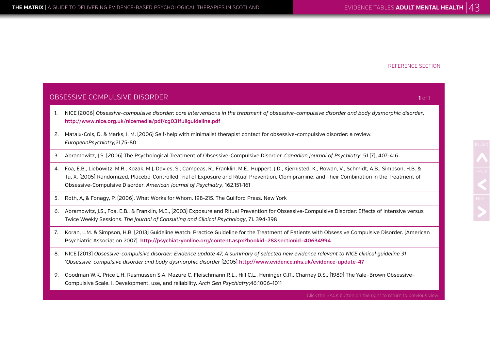|    | OBSESSIVE COMPULSIVE DISORDER<br>1 of 1                                                                                                                                                                                                                                                                                                                                                  |  |  |
|----|------------------------------------------------------------------------------------------------------------------------------------------------------------------------------------------------------------------------------------------------------------------------------------------------------------------------------------------------------------------------------------------|--|--|
| 1. | NICE (2006) Obsessive-compulsive disorder: core interventions in the treatment of obsessive-compulsive disorder and body dysmorphic disorder,<br>http://www.nice.org.uk/nicemedia/pdf/cg031fullguideline.pdf                                                                                                                                                                             |  |  |
| 2. | Mataix-Cols, D. & Marks, I. M. (2006) Self-help with minimalist therapist contact for obsessive-compulsive disorder: a review.<br>EuropeanPsychiatry, 21,75-80                                                                                                                                                                                                                           |  |  |
| 3. | Abramowitz, J.S. (2006) The Psychological Treatment of Obsessive-Compulsive Disorder. Canadian Journal of Psychiatry, 51 (7), 407-416                                                                                                                                                                                                                                                    |  |  |
| 4. | Foa, E.B., Liebowitz, M.R., Kozak, M.J, Davies, S., Campeas, R., Franklin, M.E., Huppert, J.D., Kjernisted, K., Rowan, V., Schmidt, A.B., Simpson, H.B. &<br>Tu, X. (2005) Randomized, Placebo-Controlled Trial of Exposure and Ritual Prevention, Clomipramine, and Their Combination in the Treatment of<br>Obsessive-Compulsive Disorder, American Journal of Psychiatry, 162,151-161 |  |  |
| 5. | Roth, A, & Fonagy, P. (2006). What Works for Whom. 198-215. The Guilford Press. New York                                                                                                                                                                                                                                                                                                 |  |  |
| 6. | Abramowitz, J.S., Foa, E.B., & Franklin, M.E., (2003) Exposure and Ritual Prevention for Obsessive-Compulsive Disorder: Effects of Intensive versus<br>Twice Weekly Sessions. The Journal of Consulting and Clinical Psychology, 71. 394-398                                                                                                                                             |  |  |
| 7. | Koran, L.M. & Simpson, H.B. (2013) Guideline Watch: Practice Guideline for the Treatment of Patients with Obsessive Compulsive Disorder. (American<br>Psychiatric Association 2007). http://psychiatryonline.org/content.aspx?bookid=28&sectionid=40634994                                                                                                                               |  |  |
| 8. | NICE [2013] Obsessive-compulsive disorder: Evidence update 47, A summary of selected new evidence relevant to NICE clinical guideline 31<br>'Obsessive-compulsive disorder and body dysmorphic disorder [2005] http://www.evidence.nhs.uk/evidence-update-47                                                                                                                             |  |  |
| 9. | Goodman W.K, Price L.H, Rasmussen S.A, Mazure C, Fleischmann R.L., Hill C.L., Heninger G.R., Charney D.S., [1989] The Yale-Brown Obsessive-<br>Compulsive Scale. I. Development, use, and reliability. Arch Gen Psychiatry;46:1006-1011                                                                                                                                                  |  |  |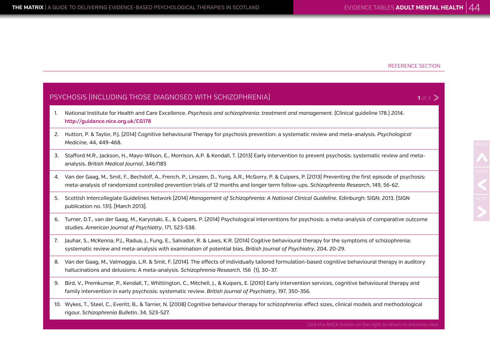$1 of 3$   $\geq$ 

#### PSYCHOSIS (INCLUDING THOSE DIAGNOSED WITH SCHIZOPHRENIA)

- 1. National Institute for Health and Care Excellence. *Psychosis and schizophrenia: treatment and management.* (Clinical guideline 178.) 2014. **<http://guidance.nice.org.uk/CG178>**
- 2. Hutton, P. & Taylor, P.J. (2014) Cognitive behavioural Therapy for psychosis prevention: a systematic review and meta-analysis. *Psychological Medicine*, 44, 449-468.
- 3. Stafford M.R., Jackson, H., Mayo-Wilson, E., Morrison, A.P. & Kendall, T. (2013) Early intervention to prevent psychosis: systematic review and metaanalysis. *British Medical Journal*, 346:f185
- 4. Van der Gaag, M., Smit, F., Bechdolf, A., French, P., Linszen, D., Yung, A.R., McGorry, P. & Cuipers, P. (2013) Preventing the first episode of psychosis: meta-analysis of randomized controlled prevention trials of 12 months and longer term follow-ups. *Schizophrenia Research*, 149, 56-62.
- 5. Scottish Intercollegiate Guidelines Network (2014) *Management of Schizophrenia: A National Clinical Guideline*. Edinburgh: SIGN; 2013. (SIGN publication no. 131). [March 2013].
- 6. Turner, D.T., van der Gaag, M., Karyotaki, E., & Cuipers, P. (2014) Psychological interventions for psychosis: a meta-analysis of comparative outcome studies. *American Journal of Psychiatry*, 171, 523-538.
- 7. Jauhar, S., McKenna, P.J., Radua, J., Fung, E., Salvador, R. & Laws, K.R. (2014) Cogitive behavioural therapy for the symptoms of schizophrenia: systematic review and meta-analysis with examination of potential bias. *British Journal of Psychiatry*, 204, 20-29.
- 8. Van der Gaag, M., Valmaggia, L.R. & Smit, F. (2014). The effects of individually tailored formulation-based cognitive behavioural therapy in auditory hallucinations and delusions: A meta-analysis. *Schizophrenia Research,* 156 (1), 30–37.
- 9. Bird, V., Premkumar, P., Kendall, T., Whittington, C., Mitchell, J., & Kuipers, E. (2010) Early intervention services, cognitive behavioural therapy and family intervention in early psychosis: systematic review. *British Journal of Psychiatry*, 197, 350-356.
- 10. Wykes, T., Steel, C., Everitt, B., & Tarrier, N. (2008) Cognitive behaviour therapy for schizophrenia: effect sizes, clinical models and methodological rigour. *Schizophrenia Bulletin*, 34, 523-527.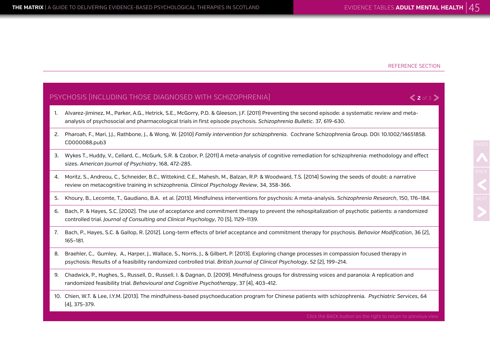**2** of 3

#### PSYCHOSIS (INCLUDING THOSE DIAGNOSED WITH SCHIZOPHRENIA)

- 1. Alvarez-Jiminez, M., Parker, A.G., Hetrick, S.E., McGorry, P.D. & Gleeson, J.F. (2011) Preventing the second episode: a systematic review and metaanalysis of psychosocial and pharmacological trials in first episode psychosis. *Schizophrenia Bulletic*. 37, 619-630.
- 2. Pharoah, F., Mari, J.J., Rathbone, J., & Wong, W. (2010) *Family intervention for schizophrenia*. Cochrane Schizophrenia Group. DOI: 10.1002/14651858. CD000088.pub3
- 3. Wykes T., Huddy, V., Cellard, C., McGurk, S.R. & Czobor, P. (2011) A meta-analysis of cognitive remediation for schizophrenia: methodology and effect sizes. *American Journal of Psychiatry*, 168, 472-285.
- 4. Moritz, S., Andreou, C., Schneider, B.C., Wittekind, C.E., Mahesh, M., Balzan, R.P. & Woodward, T.S. (2014) Sowing the seeds of doubt: a narrative review on metacognitive training in schizophrenia. *Clinical Psychology Review*, 34, 358-366.
- 5. Khoury, B., Lecomte, T., Gaudiano, B.A. et al. (2013). Mindfulness interventions for psychosis: A meta-analysis. *Schizophrenia Research*, 150, 176–184.
- 6. Bach, P. & Hayes, S.C. (2002). The use of acceptance and commitment therapy to prevent the rehospitalization of psychotic patients: a randomized controlled trial. *Journal of Consulting and Clinical Psychology*, 70 (5), 1129–1139.
- 7. Bach, P., Hayes, S.C. & Gallop, R. (2012). Long-term effects of brief acceptance and commitment therapy for psychosis. *Behavior Modification*, 36 (2), 165–181.
- 8. Braehler, C., Gumley, A., Harper, J., Wallace, S., Norris, J., & Gilbert, P. (2013). Exploring change processes in compassion focused therapy in psychosis: Results of a feasibility randomized controlled trial. *British Journal of Clinical Psychology*, 52 (2), 199–214.
- 9. Chadwick, P., Hughes, S., Russell, D., Russell, I. & Dagnan, D. (2009). Mindfulness groups for distressing voices and paranoia: A replication and randomized feasibility trial. *Behavioural and Cognitive Psychotherapy*, 37 (4), 403-412.
- 10. Chien, W.T. & Lee, I.Y.M. (2013). The mindfulness-based psychoeducation program for Chinese patients with schizophrenia. *Psychiatric Services*, 64 (4), 375-379.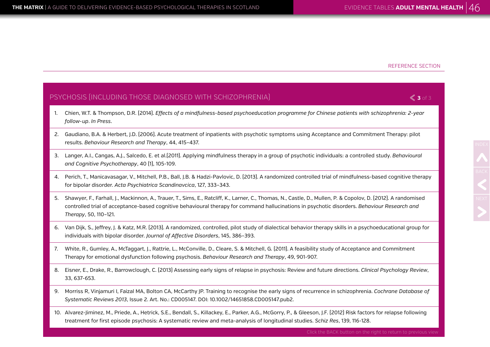**3** of 3

#### PSYCHOSIS (INCLUDING THOSE DIAGNOSED WITH SCHIZOPHRENIA)

- 1. Chien, W.T. & Thompson, D.R. (2014). *Effects of a mindfulness-based psychoeducation programme for Chinese patients with schizophrenia: 2-year follow-up*. *In Press*.
- 2. Gaudiano, B.A. & Herbert, J.D. (2006). Acute treatment of inpatients with psychotic symptoms using Acceptance and Commitment Therapy: pilot results. *Behaviour Research and Therapy*, 44, 415–437.
- 3. Langer, A.I., Cangas, A.J., Salcedo, E. et al.(2011). Applying mindfulness therapy in a group of psychotic individuals: a controlled study. *Behavioural and Cognitive Psychotherapy*, 40 (1), 105-109.
- 4. Perich, T., Manicavasagar, V., Mitchell, P.B., Ball, J.B. & Hadzi-Pavlovic, D. (2013). A randomized controlled trial of mindfulness-based cognitive therapy for bipolar disorder. *Acta Psychiatrica Scandinavcica*, 127, 333–343.
- 5. Shawyer, F., Farhall, J., Mackinnon, A., Trauer, T., Sims, E., Ratcliff, K., Larner, C., Thomas, N., Castle, D., Mullen, P. & Copolov, D. (2012). A randomised controlled trial of acceptance-based cognitive behavioural therapy for command hallucinations in psychotic disorders. *Behaviour Research and Therapy*, 50, 110–121.
- 6. Van Dijk, S., Jeffrey, J. & Katz, M.R. (2013). A randomized, controlled, pilot study of dialectical behavior therapy skills in a psychoeducational group for individuals with bipolar disorder. *Journal of Affective Disorders*, 145, 386–393.
- 7. White, R., Gumley, A., McTaggart, J., Rattrie, L., McConville, D., Cleare, S. & Mitchell, G. (2011). A feasibility study of Acceptance and Commitment Therapy for emotional dysfunction following psychosis. *Behaviour Research and Therapy*, 49, 901-907.
- 8. Eisner, E., Drake, R., Barrowclough, C. (2013) Assessing early signs of relapse in psychosis: Review and future directions. *Clinical Psychology Review*, 33, 637-653.
- 9. Morriss R, Vinjamuri I, Faizal MA, Bolton CA, McCarthy JP. Training to recognise the early signs of recurrence in schizophrenia. *Cochrane Database of Systematic Reviews 2013*, Issue 2. Art. No.: CD005147. DOI: 10.1002/14651858.CD005147.pub2.
- 10. Alvarez-Jiminez, M., Priede, A., Hetrick, S.E., Bendall, S., Killackey, E., Parker, A.G., McGorry, P., & Gleeson, J.F. (2012) Risk factors for relapse following treatment for first episode psychosis: A systematic review and meta-analysis of longitudinal studies. *Schiz Res*, 139, 116-128.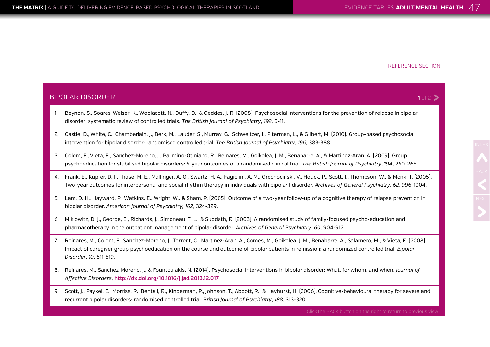NDEX<br>BACK<br>NEXT

| <b>BIPOLAR DISORDER</b><br>1 of 2 $\geq$ |                                                                                                                                                                                                                                                                                                                                     |  |
|------------------------------------------|-------------------------------------------------------------------------------------------------------------------------------------------------------------------------------------------------------------------------------------------------------------------------------------------------------------------------------------|--|
| 1.                                       | Beynon, S., Soares-Weiser, K., Woolacott, N., Duffy, D., & Geddes, J. R. (2008). Psychosocial interventions for the prevention of relapse in bipolar<br>disorder: systematic review of controlled trials. The British Journal of Psychiatry, 192, 5-11.                                                                             |  |
| 2.                                       | Castle, D., White, C., Chamberlain, J., Berk, M., Lauder, S., Murray. G., Schweitzer, I., Piterman, L., & Gilbert, M. (2010). Group-based psychosocial<br>intervention for bipolar disorder: randomised controlled trial. The British Journal of Psychiatry, 196, 383-388.                                                          |  |
| 3.                                       | Colom, F., Vieta, E., Sanchez-Moreno, J., Palimino-Otiniano, R., Reinares, M., Goikolea, J. M., Benabarre, A., & Martinez-Aran, A. [2009]. Group<br>psychoeducation for stabilised bipolar disorders: 5-year outcomes of a randomised clinical trial. The British Journal of Psychiatry, 194, 260-265.                              |  |
| 4.                                       | Frank, E., Kupfer, D. J., Thase, M. E., Mallinger, A. G., Swartz, H. A., Fagiolini, A. M., Grochocinski, V., Houck, P., Scott, J., Thompson, W., & Monk, T. (2005).<br>Two-year outcomes for interpersonal and social rhythm therapy in individuals with bipolar I disorder. Archives of General Psychiatry, 62, 996-1004.          |  |
| 5.                                       | Lam, D. H., Hayward, P., Watkins, E., Wright, W., & Sham, P. (2005). Outcome of a two-year follow-up of a cognitive therapy of relapse prevention in<br>bipolar disorder. American Journal of Psychiatry, 162, 324-329.                                                                                                             |  |
| 6.                                       | Miklowitz, D. J., George, E., Richards, J., Simoneau, T. L., & Suddath, R. (2003). A randomised study of family-focused psycho-education and<br>pharmacotherapy in the outpatient management of bipolar disorder. Archives of General Psychiatry, 60, 904-912.                                                                      |  |
| 7.                                       | Reinares, M., Colom, F., Sanchez-Moreno, J., Torrent, C., Martinez-Aran, A., Comes, M., Goikolea, J. M., Benabarre, A., Salamero, M., & Vieta, E. [2008].<br>Impact of caregiver group psychoeducation on the course and outcome of bipolar patients in remission: a randomized controlled trial. Bipolar<br>Disorder, 10, 511-519. |  |

- 8. Reinares, M., Sanchez-Moreno, J., & Fountoulakis, N. (2014). Psychosocial interventions in bipolar disorder: What, for whom, and when. *Journal of Affective Disorders*, **<http://dx.doi.org/10.1016/j.jad.2013.12.017>**
- 9. Scott, J., Paykel, E., Morriss, R., Bentall, R., Kinderman, P., Johnson, T., Abbott, R., & Hayhurst, H. (2006). Cognitive-behavioural therapy for severe and recurrent bipolar disorders: randomised controlled trial. *British Journal of Psychiatry*, *188*, 313-320.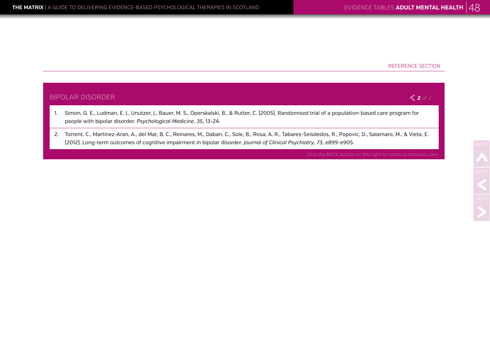

2. Torrent, C., Martinez-Aran, A., del Mar, B. C., Reinares, M., Daban, C., Sole, B., Rosa, A. R., Tabares-Seisdedos, R., Popovic, D., Salamaro, M., & Vieta, E. (2012). Long-term outcomes of cognitive impairment in bipolar disorder. *Journal of Clinical Psychiatry*, *73*, e899-e905.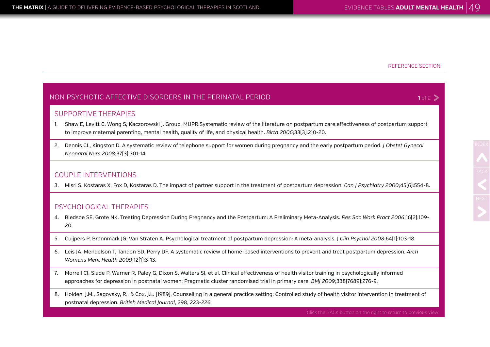$1$  of 2  $\geq$ 

#### NON PSYCHOTIC AFFECTIVE DISORDERS IN THE PERINATAL PERIOD

#### SUPPORTIVE THERAPIES

- 1. Shaw E, Levitt C, Wong S, Kaczorowski J, Group. MUPR.Systematic review of the literature on postpartum care:effectiveness of postpartum support to improve maternal parenting, mental health, quality of life, and physical health. *Birth 2006*;33(3):210-20.
- 2. Dennis CL, Kingston D. A systematic review of telephone support for women during pregnancy and the early postpartum period. *J Obstet Gynecol Neonatal Nurs 2008*;37(3):301-14.

#### COUPLE INTERVENTIONS

3. Misri S, Kostaras X, Fox D, Kostaras D. The impact of partner support in the treatment of postpartum depression. *Can J Psychiatry 2000*;45(6):554-8.

#### PSYCHOLOGICAL THERAPIES

- 4. Bledsoe SE, Grote NK. Treating Depression During Pregnancy and the Postpartum: A Preliminary Meta-Analysis. *Res Soc Work Pract 2006*;16(2):109- 20.
- 5. Cuijpers P, Brannmark JG, Van Straten A. Psychological treatment of postpartum depression: A meta-analysis. J *Clin Psychol 2008*;64(1):103-18.
- 6. Leis JA, Mendelson T, Tandon SD, Perry DF. A systematic review of home-based interventions to prevent and treat postpartum depression. *Arch Womens Ment Health 2009*;12(1):3-13.
- 7. Morrell CJ, Slade P, Warner R, Paley G, Dixon S, Walters SJ, et al. Clinical effectiveness of health visitor training in psychologically informed approaches for depression in postnatal women: Pragmatic cluster randomised trial in primary care. *BMJ 2009*;338(7689):276-9.
- 8. Holden, J.M., Sagovsky, R., & Cox, J.L. (1989). Counselling in a general practice setting: Controlled study of health visitor intervention in treatment of postnatal depression. *British Medical Journal*, 298, 223-226.

Click the BACK button on the right to return to previous view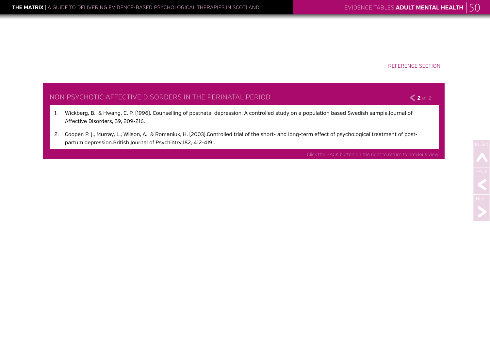**2** of 2

#### NON PSYCHOTIC AFFECTIVE DISORDERS IN THE PERINATAL PERIOD

- 1. Wickberg, B., & Hwang, C. P. (1996). Counselling of postnatal depression: A controlled study on a population based Swedish sample.Journal of Affective Disorders, 39, 209-216.
- 2. Cooper, P. J., Murray, L., Wilson, A., & Romaniuk, H. (2003).Controlled trial of the short- and long-term effect of psychological treatment of postpartum depression.British Journal of Psychiatry,182, 412-419 .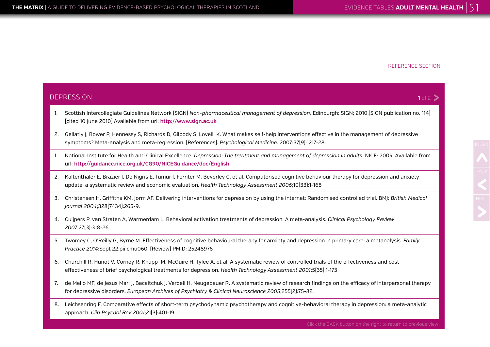|    | <b>DEPRESSION</b><br>1 of 2                                                                                                                                                                                                                                    |  |  |
|----|----------------------------------------------------------------------------------------------------------------------------------------------------------------------------------------------------------------------------------------------------------------|--|--|
| 1. | Scottish Intercollegiate Guidelines Network (SIGN) Non-pharmaceutical management of depression. Edinburgh: SIGN; 2010. (SIGN publication no. 114)<br>[cited 10 June 2010] Available from url: http://www.sign.ac.uk                                            |  |  |
| 2. | Gellatly J, Bower P, Hennessy S, Richards D, Gilbody S, Lovell K. What makes self-help interventions effective in the management of depressive<br>symptoms? Meta-analysis and meta-regression. [References]. Psychological Medicine. 2007;37(9):1217-28.       |  |  |
| 1. | National Institute for Health and Clinical Excellence. Depression: The treatment and management of depression in adults. NICE: 2009. Available from<br>url: http://guidance.nice.org.uk/CG90/NICEGuidance/doc/English                                          |  |  |
| 2. | Kaltenthaler E, Brazier J, De Nigris E, Tumur I, Ferriter M, Beverley C, et al. Computerised cognitive behaviour therapy for depression and anxiety<br>update: a systematic review and economic evaluation. Health Technology Assessment 2006;10[33]:1-168     |  |  |
| 3. | Christensen H, Griffiths KM, Jorm AF. Delivering interventions for depression by using the internet: Randomised controlled trial. BMJ: British Medical<br>Journal 2004;328[7434]:265-9.                                                                        |  |  |
| 4. | Cuijpers P, van Straten A, Warmerdam L. Behavioral activation treatments of depression: A meta-analysis. Clinical Psychology Review<br>2007;27[3]:318-26.                                                                                                      |  |  |
| 5. | Twomey C, O'Reilly G, Byrne M. Effectiveness of cognitive behavioural therapy for anxiety and depression in primary care: a metanalysis. Family<br>Practice 2014;Sept 22.pii cmu060. [Review] PMID: 25248976                                                   |  |  |
| 6. | Churchill R, Hunot V, Corney R, Knapp M, McGuire H, Tylee A, et al. A systematic review of controlled trials of the effectiveness and cost-<br>effectiveness of brief psychological treatments for depression. Health Technology Assessment 2001;5(35):1-173   |  |  |
| 7. | de Mello MF, de Jesus Mari J, Bacaltchuk J, Verdeli H, Neugebauer R. A systematic review of research findings on the efficacy of interpersonal therapy<br>for depressive disorders. European Archives of Psychiatry & Clinical Neuroscience 2005;255[2]:75-82. |  |  |
|    |                                                                                                                                                                                                                                                                |  |  |

8. Leichsenring F. Comparative effects of short-term psychodynamic psychotherapy and cognitive-behavioral therapy in depression: a meta-analytic approach. *Clin Psychol Rev 2001*;21(3):401-19.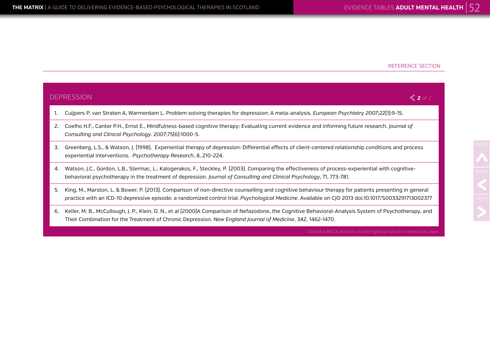DEP

#### REFERENCE SECTION

|    | <b>DEPRESSION</b><br>$\leq$ 2 of 2                                                                                                                                                                                                                                                                          |  |  |
|----|-------------------------------------------------------------------------------------------------------------------------------------------------------------------------------------------------------------------------------------------------------------------------------------------------------------|--|--|
| 1. | Cuijpers P, van Straten A, Warmerdam L. Problem solving therapies for depression: A meta-analysis. European Psychiatry 2007;22(1):9-15.                                                                                                                                                                     |  |  |
| 2. | Coelho H.F., Canter P.H., Ernst E., Mindfulness-based cognitive therapy: Evaluating current evidence and informing future research. Journal of<br>Consulting and Clinical Psychology. 2007;75[6]:1000-5.                                                                                                    |  |  |
| 3. | Greenberg, L.S., & Watson, J. (1998). Experiential therapy of depression: Differential effects of client-centered relationship conditions and process<br>experiential interventions. Psychotherapy Research, 8, 210-224.                                                                                    |  |  |
| 4. | Watson, J.C., Gordon, L.B., Stermac, L., Kalogerakos, F., Steckley, P. (2003). Comparing the effectiveness of process-experiential with cognitive-<br>behavioral psychotherapy in the treatment of depression. Journal of Consulting and Clinical Psychology, 71, 773-781.                                  |  |  |
| 5. | King, M., Marston, L. & Bower, P. [2013]. Comparison of non-directive counselling and cognitive behaviour therapy for patients presenting in general<br>practice with an ICD-10 depressive episode: a randomized control trial. Psychological Medicine. Available on CJO 2013 doi:10.1017/S0033291713002377 |  |  |
| 6. | Keller, M. B., McCullough, J. P., Klein, D. N., et al (2000)A Comparison of Nefazodone, the Cognitive Behavioral-Analysis System of Psychotherapy, and                                                                                                                                                      |  |  |

Their Combination for the Treatment of Chronic Depression. *New England Journal of Medicine*, 342, 1462-1470.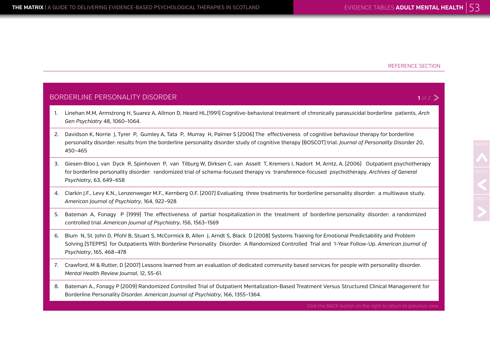#### BORDERLINE PERSONALITY DISORDER

- 1. Linehan M.M, Armstrong H, Suarez A, Allmon D, Heard HL.(1991) Cognitive-behavioral treatment of chronically parasuicidal borderline patients. *Arch Gen Psychiatry* 48, 1060–1064.
- 2. Davidson K, Norrie J, Tyrer P, Gumley A, Tata P, Murray H, Palmer S (2006) The effectiveness of cognitive behaviour therapy for borderline personality disorder: results from the borderline personality disorder study of cognitive therapy (BOSCOT) trial. *Journal of Personality Disorder* 20, 450–465
- 3. Giesen-Bloo J, van Dyck R, Spinhoven P, van Tilburg W, Dirksen C, van Asselt T, Kremers I, Nadort M, Arntz, A. (2006) Outpatient psychotherapy for borderline personality disorder: randomized trial of schema-focused therapy vs transference-focused psychotherapy. *Archives of General Psychiatry*, 63, 649–658
- 4. Clarkin J.F., Levy K.N., Lenzenweger M.F., Kernberg O.F. (2007) Evaluating three treatments for borderline personality disorder: a multiwave study. *American Journal of Psychiatry*, 164, 922–928
- 5. Bateman A, Fonagy P (1999) The effectiveness of partial hospitalization in the treatment of borderline personality disorder: a randomized controlled trial. *American Journal of Psychiatry*, 156, 1563–1569
- 6. Blum N, St. John D, Pfohl B, Stuart S, McCormick B, Allen J, Arndt S, Black D (2008) Systems Training for Emotional Predictability and Problem Solving (STEPPS) for Outpatients With Borderline Personality Disorder: A Randomized Controlled Trial and 1-Year Follow-Up. *American Journal of Psychiatry*, 165, 468–478
- 7. Crawford, M & Rutter, D (2007) Lessons learned from an evaluation of dedicated community based services for people with personality disorder. *Mental Health Review Journal*, 12, 55-61.
- 8. Bateman A., Fonagy P (2009) Randomized Controlled Trial of Outpatient Mentalization-Based Treatment Versus Structured Clinical Management for Borderline Personality Disorder. *American Journal of Psychiatry*, 166, 1355–1364.

Click the BACK button on the right to return to previous view

### $1 of 2$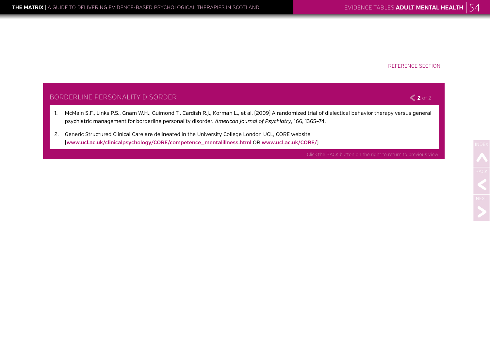#### BORDERLINE PERSONALITY DISORDER

- 1. McMain S.F., Links P.S., Gnam W.H., Guimond T., Cardish R.J., Korman L., et al. (2009) A randomized trial of dialectical behavior therapy versus general psychiatric management for borderline personality disorder. *American Journal of Psychiatry*, 166, 1365–74.
- 2. Generic Structured Clinical Care are delineated in the University College London UCL, CORE website (**[www.ucl.ac.uk/clinicalpsychology/CORE/competence\\_mentalillness.html](http://www.ucl.ac.uk/clinical-psychology/CORE/competence_mentalillness.html)** OR **[www.ucl.ac.uk/CORE/](http://www.ucl.ac.uk/CORE/)**)

**2** of 2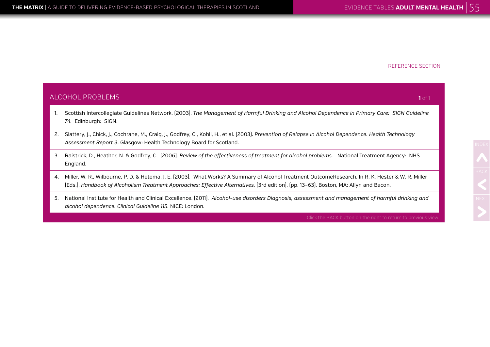England.

#### REFERENCE SECTION

## ALCOHOL PROBLEMS 1. Scottish Intercollegiate Guidelines Network. (2003). *The Management of Harmful Drinking and Alcohol Dependence in Primary Care: SIGN Guideline 74.* Edinburgh: SIGN. 2. Slattery, J., Chick, J., Cochrane, M., Craig, J., Godfrey, C., Kohli, H., et al. (2003). *Prevention of Relapse in Alcohol Dependence. Health Technology Assessment Report 3*. Glasgow: Health Technology Board for Scotland. 3. Raistrick, D., Heather, N. & Godfrey, C. (2006). *Review of the effectiveness of treatment for alcohol problems*. National Treatment Agency: NHS 4. Miller, W. R., Wilbourne, P. D. & Hetema, J. E. (2003). What Works? A Summary of Alcohol Treatment OutcomeResearch. In R. K. Hester & W. R. Miller (Eds.), *Handbook of Alcoholism Treatment Approaches: Effective Alternatives,* (3rd edition), (pp. 13–63). Boston, MA: Allyn and Bacon. **1** of 1

5. National Institute for Health and Clinical Excellence. (2011). *Alcohol-use disorders Diagnosis, assessment and management of harmful drinking and alcohol dependence. Clinical Guideline 115*. NICE: London.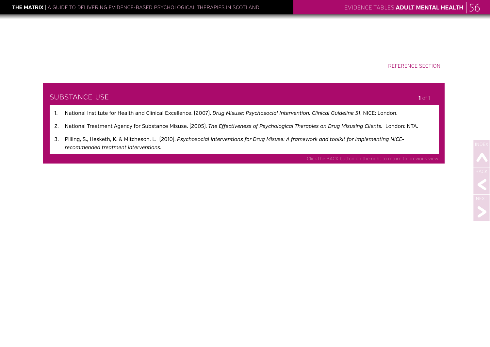| SUBSTANCE USE |                                                                                                                                                                                     | 1 of 1 |
|---------------|-------------------------------------------------------------------------------------------------------------------------------------------------------------------------------------|--------|
|               | National Institute for Health and Clinical Excellence. [2007]. Drug Misuse: Psychosocial Intervention. Clinical Guideline 51, NICE: London.                                         |        |
|               | National Treatment Agency for Substance Misuse. [2005]. The Effectiveness of Psychological Therapies on Drug Misusing Clients. London: NTA.                                         |        |
| 3.            | Pilling, S., Hesketh, K. & Mitcheson, L. (2010). Psychosocial Interventions for Drug Misuse: A framework and toolkit for implementing NICE-<br>recommended treatment interventions. |        |
|               | Click the BACK button on the right to return to previous view                                                                                                                       |        |
|               |                                                                                                                                                                                     |        |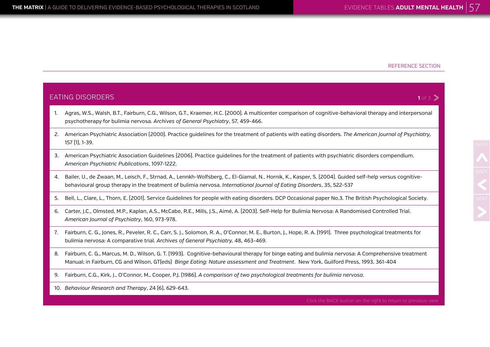EATING DISORDERS

157 (1), 1-39.

#### REFERENCE SECTION

## 1. Agras, W.S., Walsh, B.T., Fairburn, C.G., Wilson, G.T., Kraemer, H.C. (2000). A multicenter comparison of cognitive-behavioral therapy and interpersonal psychotherapy for bulimia nervosa. *Archives of General Psychiatry*, 57, 459-466. 2. American Psychiatric Association (2000). Practice guidelines for the treatment of patients with eating disorders. *The American Journal of Psychiatry,* 3. American Psychiatric Association Guidelines (2006). Practice guidelines for the treatment of patients with psychiatric disorders compendium. *American Psychiatric Publications*, 1097-1222. 4. Bailer, U., de Zwaan, M., Leisch, F., Strnad, A., Lennkh-Wolfsberg, C., El-Giamal, N., Hornik, K., Kasper, S. (2004). Guided self-help versus cognitivebehavioural group therapy in the treatment of bulimia nervosa. *International Journal of Eating Disorders*, 35, 522-537 5. Bell, L., Clare, L., Thorn, E. (2001). Service Guidelines for people with eating disorders. DCP Occasional paper No.3. The British Psychological Society. 6. Carter, J.C., Olmsted, M.P., Kaplan, A.S., McCabe, R.E., Mills, J.S., Aimé, A. (2003). Self-Help for Bulimia Nervosa: A Randomised Controlled Trial. *American Journal of Psychiatry*, 160, 973-978. 7. Fairburn, C. G., Jones, R., Peveler, R. C., Carr, S. J., Solomon, R. A., O'Connor, M. E., Burton, J., Hope, R. A. (1991). Three psychological treatments for

- bulimia nervosa: A comparative trial. *Archives of General Psychiatry,* 48, 463-469.
- 8. Fairburn, C. G., Marcus, M. D., Wilson, G. T. (1993). Cognitive-behavioural therapy for binge eating and bulimia nervosa: A Comprehensive treatment Manual; in Fairburn, CG and Wilson, GT(eds) *Binge Eating: Nature assessment and Treatment*. New York, Guilford Press, 1993, 361-404
- 9. Fairburn, C.G., Kirk, J., O'Connor, M., Cooper, P.J. (1986). *A comparison of two psychological treatments for bulimia nervosa*.
- 10. *Behaviour Research and Therapy*, 24 (6), 629-643.

# NDEX<br>**BACK**<br>NEXT

#### $1 of 3$  >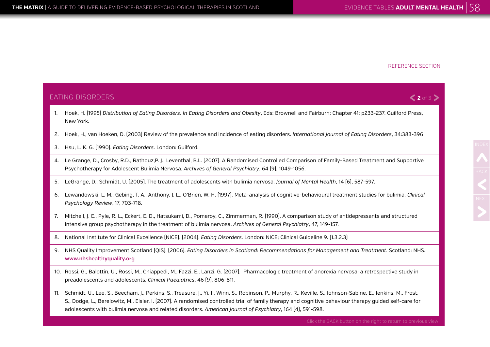#### **2** of 3

#### EATING DISORDERS

- 1. Hoek, H. (1995) *Distribution of Eating Disorders, In Eating Disorders and Obesity*, Eds: Brownell and Fairburn: Chapter 41: p233-237. Guilford Press, New York.
- 2. Hoek, H., van Hoeken, D. (2003) Review of the prevalence and incidence of eating disorders. *International Journal of Eating Disorders*, 34:383-396
- 3. Hsu, L. K. G. (1990). *Eating Disorders*. London: Guilford.
- 4. Le Grange, D., Crosby, R.D., Rathouz,P. J., Leventhal, B.L. (2007). A Randomised Controlled Comparison of Family-Based Treatment and Supportive Psychotherapy for Adolescent Bulimia Nervosa. *Archives of General Psychiatry*, 64 (9), 1049-1056.
- 5. LeGrange, D., Schmidt, U. (2005). The treatment of adolescents with bulimia nervosa. *Journal of Mental Health*, 14 (6), 587-597.
- 6. Lewandowski, L. M., Gebing, T. A., Anthony, J. L., O'Brien, W. H. (1997). Meta-analysis of cognitive-behavioural treatment studies for bulimia. *Clinical Psychology Review*, 17, 703-718.
- 7. Mitchell, J. E., Pyle, R. L., Eckert, E. D., Hatsukami, D., Pomeroy, C., Zimmerman, R. (1990). A comparison study of antidepressants and structured intensive group psychotherapy in the treatment of bulimia nervosa. *Archives of General Psychiatry*, 47, 149-157.
- 8. National Institute for Clinical Excellence (NICE). (2004). *Eating Disorders*. London: NICE; Clinical Guideline 9. (1.3.2.3)
- 9. NHS Quality Improvement Scotland (QIS). (2006). *Eating Disorders in Scotland: Recommendations for Management and Treatment*. Scotland: NHS. **www.nhshealthyquality.org**
- 10. Rossi, G., Balottin, U., Rossi, M., Chiappedi, M., Fazzi, E., Lanzi, G. (2007). Pharmacologic treatment of anorexia nervosa: a retrospective study in preadolescents and adolescents. *Clinical Paediatrics*, 46 (9), 806-811.
- 11. Schmidt, U., Lee, S., Beecham, J., Perkins, S., Treasure, J., Yi, I., Winn, S., Robinson, P., Murphy, R., Keville, S., Johnson-Sabine, E., Jenkins, M., Frost, S., Dodge, L., Berelowitz, M., Eisler, I. (2007). A randomised controlled trial of family therapy and cognitive behaviour therapy guided self-care for adolescents with bulimia nervosa and related disorders. *American Journal of Psychiatry*, 164 (4), 591-598.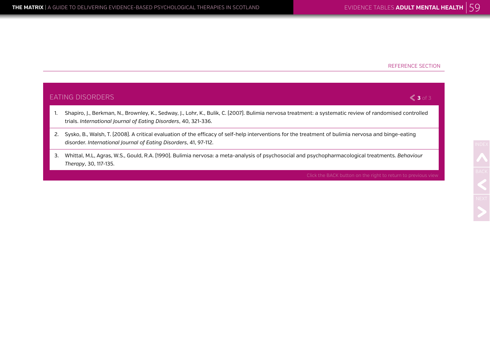### EATING DISORDERS 1. Shapiro, J., Berkman, N., Brownley, K., Sedway, J., Lohr, K., Bulik, C. (2007). Bulimia nervosa treatment: a systematic review of randomised controlled trials. *International Journal of Eating Disorders*, 40, 321-336. 2. Sysko, B., Walsh, T. (2008). A critical evaluation of the efficacy of self-help interventions for the treatment of bulimia nervosa and binge-eating disorder. *International Journal of Eating Disorders*, 41, 97-112. 3. Whittal, M.L, Agras, W.S., Gould, R.A. (1990). Bulimia nervosa: a meta-analysis of psychosocial and psychopharmacological treatments. *Behaviour Therapy*, 30, 117-135. **3** of 3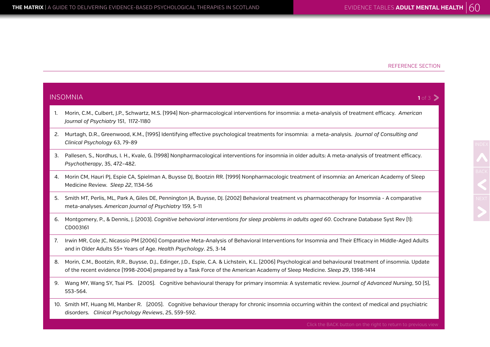INS<sup>®</sup>

#### REFERENCE SECTION

|    | ISOMNIA<br>1 of 3                                                                                                                                                                                                                                                                       |  |
|----|-----------------------------------------------------------------------------------------------------------------------------------------------------------------------------------------------------------------------------------------------------------------------------------------|--|
|    | Morin, C.M., Culbert, J.P., Schwartz, M.S. (1994) Non-pharmacological interventions for insomnia: a meta-analysis of treatment efficacy. American<br>Journal of Psychiatry 151, 1172-1180                                                                                               |  |
| 2. | Murtagh, D.R., Greenwood, K.M., [1995] Identifying effective psychological treatments for insomnia: a meta-analysis. Journal of Consulting and<br>Clinical Psychology 63, 79-89                                                                                                         |  |
| 3. | Pallesen, S., Nordhus, I. H., Kvale, G. (1998) Nonpharmacological interventions for insomnia in older adults: A meta-analysis of treatment efficacy.<br>Psychotherapy, 35, 472-482.                                                                                                     |  |
| 4. | Morin CM, Hauri PJ, Espie CA, Spielman A, Buysse DJ, Bootzin RR. [1999] Nonpharmacologic treatment of insomnia: an American Academy of Sleep<br>Medicine Review. Sleep 22, 1134-56                                                                                                      |  |
| 5. | Smith MT, Perlis, ML, Park A, Giles DE, Pennington JA, Buysse, DJ. (2002) Behavioral treatment vs pharmacotherapy for Insomnia - A comparative<br>meta-analyses. American Journal of Psychiatry 159, 5-11                                                                               |  |
| 6. | Montgomery, P., & Dennis, J. (2003). Cognitive behavioral interventions for sleep problems in adults aged 60. Cochrane Database Syst Rev (1):<br>CD003161                                                                                                                               |  |
| 7. | Irwin MR, Cole JC, Nicassio PM (2006) Comparative Meta-Analysis of Behavioral Interventions for Insomnia and Their Efficacy in Middle-Aged Adults<br>and in Older Adults 55+ Years of Age. Health Psychology. 25, 3-14                                                                  |  |
| 8. | Morin, C.M., Bootzin, R.R., Buysse, D.J., Edinger, J.D., Espie, C.A. & Lichstein, K.L. [2006] Psychological and behavioural treatment of insomnia. Update<br>of the recent evidence [1998-2004] prepared by a Task Force of the American Academy of Sleep Medicine. Sleep 29, 1398-1414 |  |
| 9. | Wang MY, Wang SY, Tsai PS. [2005]. Cognitive behavioural therapy for primary insomnia: A systematic review. Journal of Advanced Nursing, 50 [5],<br>553-564.                                                                                                                            |  |
|    | 10. Smith MT, Huang MI, Manber R. [2005]. Cognitive behaviour therapy for chronic insomnia occurring within the context of medical and psychiatric<br>disorders. Clinical Psychology Reviews, 25, 559-592.                                                                              |  |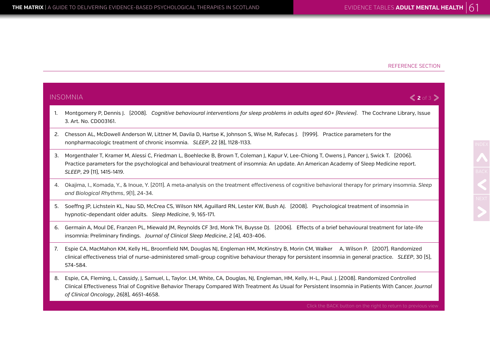nonpharmacologic treatment of chronic insomnia. *SLEEP*, 22 (8), 1128-1133.

insomnia: Preliminary findings. *Journal of Clinical Sleep Medicine*, 2 (4), 403-406.

hypnotic-dependant older adults. *Sleep Medicine*, 9, 165-171.

INSOMNIA

3. Art. No. CD003161.

*SLEEP*, 29 (11), 1415-1419.

*and Biological Rhythms*, *9*(1), 24-34.

#### REFERENCE SECTION

# 1. Montgomery P, Dennis J. (2008). *Cognitive behavioural interventions for sleep problems in adults aged 60+ (Review)*. The Cochrane Library, Issue 2. Chesson AL, McDowell Anderson W, Littner M, Davila D, Hartse K, Johnson S, Wise M, Rafecas J. (1999). Practice parameters for the 3. Morgenthaler T, Kramer M, Alessi C, Friedman L, Boehlecke B, Brown T, Coleman J, Kapur V, Lee-Chiong T, Owens J, Pancer J, Swick T. (2006). Practice parameters for the psychological and behavioural treatment of insomnia: An update. An American Academy of Sleep Medicine report. 4. Okajima, I., Komada, Y., & Inoue, Y. (2011). A meta‐analysis on the treatment effectiveness of cognitive behavioral therapy for primary insomnia. *Sleep*  5. Soeffng JP, Lichstein KL, Nau SD, McCrea CS, Wilson NM, Aguillard RN, Lester KW, Bush AJ. (2008). Psychological treatment of insomnia in 6. Germain A, Moul DE, Franzen PL, Miewald JM, Reynolds CF 3rd, Monk TH, Buysse DJ. (2006). Effects of a brief behavioural treatment for late-life **2** of 3

- 7. Espie CA, MacMahon KM, Kelly HL, Broomfield NM, Douglas NJ, Engleman HM, McKinstry B, Morin CM, Walker A, Wilson P. (2007). Randomized clinical effectiveness trial of nurse-administered small-group cognitive behaviour therapy for persistent insomnia in general practice. *SLEEP*, 30 (5), 574-584.
- 8. Espie, CA, Fleming, L, Cassidy, J, Samuel, L, Taylor. LM, White, CA, Douglas, NJ, Engleman, HM, Kelly, H-L, Paul. J. (2008). Randomized Controlled Clinical Effectiveness Trial of Cognitive Behavior Therapy Compared With Treatment As Usual for Persistent Insomnia in Patients With Cancer. *Journal of Clinical Oncology*, 26(8), 4651-4658.

Click the BACK button on the right to return to previous view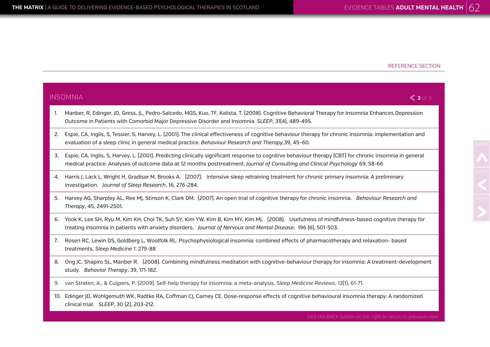$IN$ 

#### REFERENCE SECTION

|    | ISOMNIA<br>$<$ 3 of 3                                                                                                                                                                                                                                                                      |
|----|--------------------------------------------------------------------------------------------------------------------------------------------------------------------------------------------------------------------------------------------------------------------------------------------|
|    | Manber, R, Edinger, JD, Gress, JL, Pedro-Salcedo, MGS, Kuo, TF, Kalista, T. (2008). Cognitive Behavioral Therapy for Insomnia Enhances Depression<br>Outcome in Patients with Comorbid Major Depressive Disorder and Insomnia. SLEEP, 31(4), 489-495.                                      |
|    | Espie, CA, Inglis, S, Tessier, S, Harvey, L. (2001). The clinical effectiveness of cognitive behaviour therapy for chronic insomnia: implementation and<br>evaluation of a sleep clinic in general medical practice. Behaviour Research and Therapy, 39, 45-60.                            |
| 3. | Espie, CA, Inglis, S, Harvey, L. (2001). Predicting clinically significant response to cognitive behaviour therapy (CBT) for chronic insomnia in general<br>medical practice: Analyses of outcome data at 12 months posttreatment. Journal of Consulting and Clinical Psychology 69, 58-66 |
|    | 4.    Harris J, Lack L, Wright H, Gradisar M, Brooks A.   [2007].   Intensive sleep retraining treatment for chronic primary insomnia: A preliminary<br>investigation. Journal of Sleep Research, 16, 276-284.                                                                             |
|    | 5. Harvey AG, Sharpley AL, Ree MJ, Stinson K, Clark DM. [2007]. An open trial of cognitive therapy for chronic insomnia. Behaviour Research and<br>Therapy, 45, 2491-2501.                                                                                                                 |
|    | 6. Yook K, Lee SH, Ryu M, Kim KH, Choi TK, Suh SY, Kim YW, Kim B, Kim MY, Kim MJ. [2008]. Usefulness of mindfulness-based cognitive therapy for<br>treating insomnia in patients with anxiety disorders. Journal of Nervous and Mental Disease, 196 (6), 501-503.                          |
| 7. | Rosen RC, Lewin DS, Goldberg L, Woolfolk RL. Psychophysiological insomnia: combined effects of pharmacotherapy and relaxation- based<br>treatments. Sleep Medicine 1, 279-88                                                                                                               |
|    | 8. Ong JC, Shapiro SL, Manber R. [2008]. Combining mindfulness meditation with cognitive-behaviour therapy for insomnia: A treatment-development<br>study. Behavior Therapy, 39, 171-182.                                                                                                  |
|    | 9. van Straten, A., & Cuijpers, P. (2009). Self-help therapy for insomnia: a meta-analysis. Sleep Medicine Reviews, 13(1), 61-71.                                                                                                                                                          |
|    | 10 Edinger ID Weblasmuth WK Dadtke DA Coffman CL Carney CE Dese response effects of segnitive behavioural insegnia therapy. A randomized                                                                                                                                                   |

10. Edinger JD, Wohlgemuth WK, Radtke RA, Coffman CJ, Carney CE. Dose-response effects of cognitive behavioural insomnia therapy: A randomized clinical trial. *SLEEP*, 30 (2), 203-212.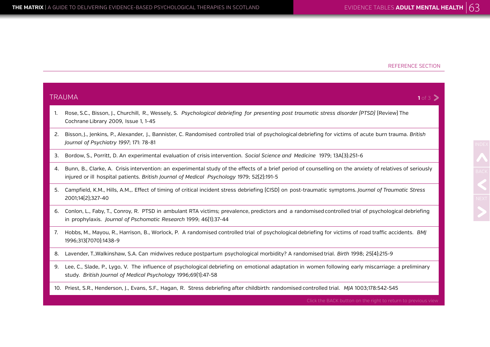NDEX<br>BACK<br>NEXT

|    | TRAUMA<br>1 of 3                                                                                                                                                                                                                                      |  |  |
|----|-------------------------------------------------------------------------------------------------------------------------------------------------------------------------------------------------------------------------------------------------------|--|--|
| 1. | Rose, S.C., Bisson, J., Churchill, R., Wessely, S. Psychological debriefing for presenting post traumatic stress disorder (PTSD) (Review) The<br>Cochrane Library 2009, Issue 1, 1-45                                                                 |  |  |
| 2. | Bisson, J., Jenkins, P., Alexander, J., Bannister, C. Randomised controlled trial of psychological debriefing for victims of acute burn trauma. British<br>Journal of Psychiatry 1997; 171: 78-81                                                     |  |  |
| 3. | Bordow, S., Porritt, D. An experimental evaluation of crisis intervention. Social Science and Medicine 1979; 13A(3):251-6                                                                                                                             |  |  |
| 4. | Bunn, B., Clarke, A. Crisis intervention: an experimental study of the effects of a brief period of counselling on the anxiety of relatives of seriously<br>injured or ill hospital patients. British Journal of Medical Psychology 1979; 52(2):191-5 |  |  |
| 5. | Campfield, K.M., Hills, A.M.,. Effect of timing of critical incident stress debriefing (CISD) on post-traumatic symptoms. Journal of Traumatic Stress<br>2001;14[2];327-40                                                                            |  |  |
| 6. | Conlon, L., Faby, T., Conroy, R. PTSD in ambulant RTA victims; prevalence, predictors and a randomised controlled trial of psychological debriefing<br>in prophylaxis. Journal of Pschomatic Research 1999; 46[1]:37-44                               |  |  |
| 7. | Hobbs, M., Mayou, R., Harrison, B., Worlock, P. A randomised controlled trial of psychological debriefing for victims of road traffic accidents. BMJ<br>1996;313[7070]:1438-9                                                                         |  |  |
| 8. | Lavender, T., Walkinshaw, S.A. Can midwives reduce postpartum psychological morbidity? A randomised trial. Birth 1998; 25(4):215-9                                                                                                                    |  |  |
| 9. | Lee, C., Slade, P., Lygo, V. The influence of psychological debriefing on emotional adaptation in women following early miscarriage: a preliminary<br>study. British Journal of Medical Psychology 1996;69[1]:47-58                                   |  |  |
|    | 10. Priest, S.R., Henderson, J., Evans, S.F., Hagan, R. Stress debriefing after childbirth: randomised controlled trial. MJA 1003;178:542-545                                                                                                         |  |  |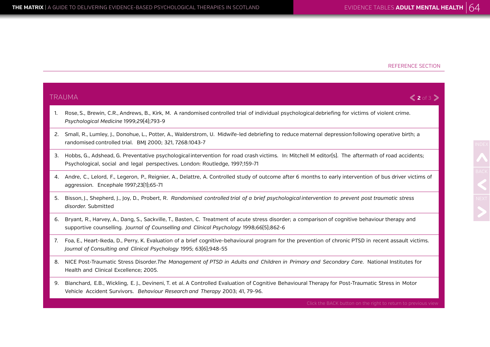NDEX<br>BACK<br>NEXT

### TRAUMA 1. Rose, S., Brewin, C.R., Andrews, B., Kirk, M. A randomised controlled trial of individual psychological debriefing for victims of violent crime. *Psychological Medicine* 1999;29(4);793-9 2. Small, R., Lumley, J., Donohue, L., Potter, A., Walderstrom, U. Midwife-led debriefing to reduce maternal depression following operative birth; a randomised controlled trial. BMJ 2000; 321, 7268:1043-7 3. Hobbs, G., Adshead, G. Preventative psychological intervention for road crash victims. In: Mitchell M editor(s). The aftermath of road accidents; Psychological, social and legal perspectives. London: Routledge, 1997;159-71 4. Andre, C., Lelord, F., Legeron, P., Reignier, A., Delattre, A. Controlled study of outcome after 6 months to early intervention of bus driver victims of aggression. Encephale 1997;23(1);65-71 5. Bisson, J., Shepherd, J., Joy, D., Probert, R. *Randomised controlled trial of a brief psychological intervention to prevent post traumatic stress disorder.* Submitted 6. Bryant, R., Harvey, A., Dang, S., Sackville, T., Basten, C. Treatment of acute stress disorder; a comparison of cognitive behaviour therapy and supportive counselling. *Journal of Counselling and Clinical Psychology* 1998;66(5);862-6 7. Foa, E., Heart-Ikeda, D., Perry, K. Evaluation of a brief cognitive-behavioural program for the prevention of chronic PTSD in recent assault victims. *Journal of Consulting and Clinical Psychology* 1995; 63(6);948-55 8. NICE Post-Traumatic Stress Disorder.*The Management of PTSD in Adults and Children in Primary and Secondary Care*. National Institutes for Health and Clinical Excellence; 2005. **2** of 3

9. Blanchard, E.B., Wickling, E. J., Devineni, T. et al. A Controlled Evaluation of Cognitive Behavioural Therapy for Post-Traumatic Stress in Motor Vehicle Accident Survivors. *Behaviour Research and Therapy* 2003; 41, 79-96.

Click the BACK button on the right to return to previous view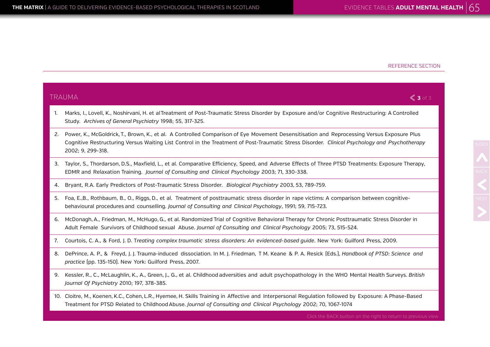NDEX<br>BACK<br>NEXT

|    | TRAUMA<br>$\leqslant$ 3 of 3                                                                                                                                                                                                                                                                                     |  |  |
|----|------------------------------------------------------------------------------------------------------------------------------------------------------------------------------------------------------------------------------------------------------------------------------------------------------------------|--|--|
| 1. | Marks, I., Lovell, K., Noshirvani, H. et al Treatment of Post-Traumatic Stress Disorder by Exposure and/or Cognitive Restructuring: A Controlled<br>Study. Archives of General Psychiatry 1998; 55, 317-325.                                                                                                     |  |  |
| 2. | Power, K., McGoldrick, T., Brown, K., et al. A Controlled Comparison of Eye Movement Desensitisation and Reprocessing Versus Exposure Plus<br>Cognitive Restructuring Versus Waiting List Control in the Treatment of Post-Traumatic Stress Disorder. Clinical Psychology and Psychotherapy<br>2002; 9, 299-318. |  |  |
| 3. | Taylor, S., Thordarson, D.S., Maxfield, L., et al. Comparative Efficiency, Speed, and Adverse Effects of Three PTSD Treatments: Exposure Therapy,<br>EDMR and Relaxation Training. Journal of Consulting and Clinical Psychology 2003; 71, 330-338.                                                              |  |  |
| 4. | Bryant, R.A. Early Predictors of Post-Traumatic Stress Disorder. Biological Psychiatry 2003, 53, 789-759.                                                                                                                                                                                                        |  |  |
| 5. | Foa, E.,B., Rothbaum, B., O., Riggs, D., et al. Treatment of posttraumatic stress disorder in rape victims: A comparison between cognitive-<br>behavioural procedures and counselling. Journal of Consulting and Clinical Psychology, 1991; 59, 715-723.                                                         |  |  |
| 6. | McDonagh, A., Friedman, M., McHugo, G., et al. Randomized Trial of Cognitive Behavioral Therapy for Chronic Posttraumatic Stress Disorder in<br>Adult Female Survivors of Childhood sexual Abuse. Journal of Consulting and Clinical Psychology 2005; 73, 515-524.                                               |  |  |
| 7. | Courtois, C. A., & Ford, J. D. Treating complex traumatic stress disorders: An evidenced-based quide. New York: Guilford Press, 2009.                                                                                                                                                                            |  |  |
| 8. | DePrince, A. P., & Freyd, J. J. Trauma-induced dissociation. In M. J. Friedman, T M. Keane & P. A. Resick [Eds.], Handbook of PTSD: Science and<br>practice (pp. 135-150). New York: Guilford Press, 2007.                                                                                                       |  |  |
| 9. | Kessler, R., C., McLaughlin, K., A., Green, J., G., et al. Childhood adversities and adult psychopathology in the WHO Mental Health Surveys. British<br>Journal Of Psychiatry 2010; 197, 378-385.                                                                                                                |  |  |
|    | 10. Cloitre, M., Koenen, K.C., Cohen, L.R., Hyemee, H. Skills Training in Affective and Interpersonal Regulation followed by Exposure: A Phase-Based<br>Treatment for PTSD Related to Childhood Abuse. Journal of Consulting and Clinical Psychology 2002; 70, 1067-1074                                         |  |  |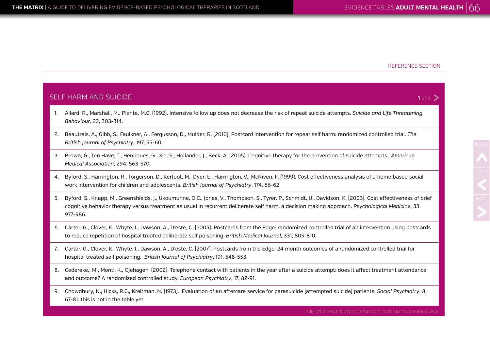$1$  of 4 $\geq$ 

# NDEX<br>**BACK**<br>NEXT

#### SELF HARM AND SUICIDE

- 1. Allard, R., Marshall, M., Plante, M.C. (1992). Intensive follow up does not decrease the risk of repeat suicide attempts. *Suicide and Life Threatening Behaviour*, 22, 303-314.
- 2. Beautrais, A., Gibb, S., Faulkner, A., Fergusson, D., Mulder, R. (2010). Postcard intervention for repeat self harm: randomized controlled trial. *The British Journal of Psychiatry*, 197, 55-60.
- 3. Brown, G., Ten Have, T., Henriques, G., Xie, S., Hollander, J., Beck, A. (2005). Cognitive therapy for the prevention of suicide attempts. *American Medical Association*, 294, 563-570.
- 4. Byford, S., Harrington, R., Torgerson, D., Kerfoot, M., Dyer, E., Harrington, V., McNiven, F. (1999). Cost effectiveness analysis of a home based social work intervention for children and adolescents. *British Journal of Psychiatry*, 174, 56-62.
- 5. Byford, S., Knapp, M., Greenshields, J., Ukoumunne, O.C., Jones, V., Thompson, S., Tyrer, P., Schmidt, U., Davidson, K. (2003). Cost effectiveness of brief cognitive behavior therapy versus treatment as usual in recurrent deliberate self harm: a decision making approach. *Psychological Medicine,* 33, 977-986.
- 6. Carter, G., Clover, K., Whyte, I., Dawson, A., D'este, C. (2005). Postcards from the Edge: randomized controlled trial of an intervention using postcards to reduce repetition of hospital treated deliberate self poisoning. *British Medical Journal,* 331, 805-810.
- 7. Carter, G., Clover, K., Whyte, I., Dawson, A., D'este, C. (2007). Postcards from the Edge: 24 month outcomes of a randomized controlled trial for hospital treated self poisoning. *British Journal of Psychiatry*, 191, 548-553.
- 8. Cedereke,, M., Monti, K., Ojehagen. (2002). Telephone contact with patients in the year after a suicide attempt: does it affect treatment attendance and outcome? A randomized controlled study. *European Psychiatry*, 17, 82-91.
- 9. Chowdhury, N., Hicks, R.C., Kreitman, N. (1973). Evaluation of an aftercare service for parasuicide (attempted suicide) patients. *Social Psychiatry*, 8, 67-81. this is not in the table yet

Click the BACK button on the right to return to previous view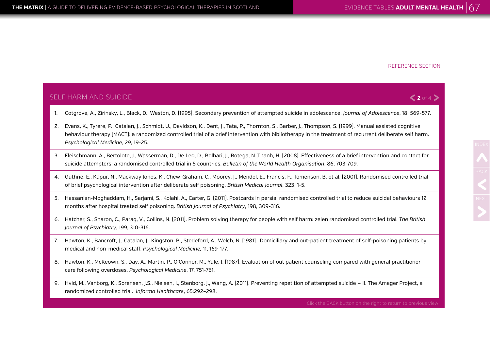SELF HARM AND SUICIDE

#### REFERENCE SECTION

#### $2$  of 4 $>$

NDEX<br>**BACK**<br>NEXT

- 1. Cotgrove, A., Zirinsky, L., Black, D., Weston, D. (1995). Secondary prevention of attempted suicide in adolescence. *Journal of Adolescence*, 18, 569-577.
- 2. Evans, K., Tyrere, P., Catalan, J., Schmidt, U., Davidson, K., Dent, J., Tata, P., Thornton, S., Barber, J., Thompson, S. (1999). Manual assisted cognitive behaviour therapy (MACT): a randomized controlled trial of a brief intervention with bibliotherapy in the treatment of recurrent deliberate self harm. *Psychological Medicine*, 29, 19-25.
- 3. Fleischmann, A., Bertolote, J., Wasserman, D., De Leo, D., Bolhari, J., Botega, N.,Thanh, H. (2008). Effectiveness of a brief intervention and contact for suicide attempters: a randomised controlled trial in 5 countries. *Bulletin of the World Health Organisation*, 86, 703-709.
- 4. Guthrie, E., Kapur, N., Mackway Jones, K., Chew-Graham, C., Moorey, J., Mendel, E., Francis, F., Tomenson, B. et al. (2001). Randomised controlled trial of brief psychological intervention after deliberate self poisoning. *British Medical Journal*, 323, 1-5.
- 5. Hassanian-Moghaddam, H., Sarjami, S., Kolahi, A., Carter, G. (2011). Postcards in persia: randomised controlled trial to reduce suicidal behaviours 12 months after hospital treated self poisoning. *British Journal of Psychiatry*, 198, 309-316.
- 6. Hatcher, S., Sharon, C., Parag, V., Collins, N. (2011). Problem solving therapy for people with self harm: zelen randomised controlled trial. *The British Journal of Psychiatry*, 199, 310-316.
- 7. Hawton, K., Bancroft, J., Catalan, J., Kingston, B., Stedeford, A., Welch, N. (1981). Domiciliary and out-patient treatment of self-poisoning patients by medical and non-medical staff. *Psychological Medicine,* 11, 169-177.
- 8. Hawton, K., McKeown, S., Day, A., Martin, P., O'Connor, M., Yule, J. (1987). Evaluation of out patient counseling compared with general practitioner care following overdoses. *Psychological Medicine*, 17, 751-761.
- 9. Hvid, M., Vanborg, K., Sorensen, J.S., Nielsen, I., Stenborg, J., Wang, A. (2011). Preventing repetition of attempted suicide II. The Amager Project, a randomized controlled trial. *Informa Healthcare*, 65:292–298.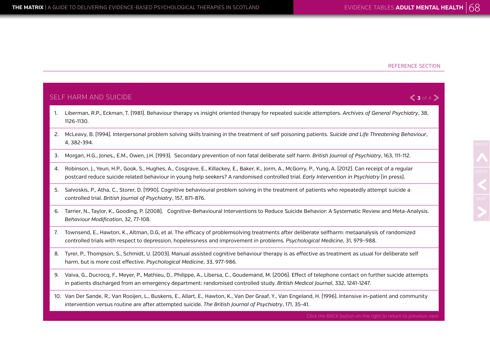$\langle 3 \text{ of } 4 \rangle$ 

#### SELF HARM AND SUICIDE

- 1. Liberman, R.P., Eckman, T. (1981). Behaviour therapy vs insight oriented therapy for repeated suicide attempters. *Archives of General Psychiatry*, 38, 1126-1130.
- 2. McLeavy, B. (1994). Interpersonal problem solving skills training in the treatment of self poisoning patients. *Suicide and Life Threatening Behaviour*, 4, 382-394.
- 3. Morgan, H.G., Jones., E.M., Owen, J.H. (1993). Secondary prevention of non fatal deliberate self harm. *British Journal of Psychiatry*, 163, 111-112.
- 4. Robinson, J., Yeun, H.P., Gook, S., Hughes, A., Cosgrave, E., Killackey, E., Baker, K., Jorm, A., McGorry, P., Yung, A. (2012). Can receipt of a regular postcard reduce suicide related behaviour in young help seekers? A randomised controlled trial. *Early Intervention in Psychiatry* (in press).
- 5. Salvoskis, P., Atha, C., Storer, D. (1990). Cognitive behavioural problem solving in the treatment of patients who repeatedly attempt suicide a controlled trial. *British Journal of Psychiatry*, 157, 871-876.
- 6. Tarrier, N., Taylor, K., Gooding, P. (2008). Cognitive-Behavioural Interventions to Reduce Suicide Behavior: A Systematic Review and Meta-Analysis. *Behaviour Modification*, 32, 77-108.
- 7. Townsend, E., Hawton, K., Altman, D.G, et al. The efficacy of problemsolving treatments after deliberate selfharm: metaanalysis of randomized controlled trials with respect to depression, hopelessness and improvement in problems. *Psychological Medicine*, 31, 979–988.
- 8. Tyrer, P., Thompson, S., Schmidt, U. (2003). Manual assisted cognitive behaviour therapy is as effective as treatment as usual for deliberate self harm, but is more cost effective. *Psychological Medicine*, 33, 977-986.
- 9. Vaiva, G., Ducrocq, F., Meyer, P., Mathieu, D., Philippe, A., Libersa, C., Goudemand, M. (2006). Effect of telephone contact on further suicide attempts in patients discharged from an emergency department: randomised controlled study. *British Medical Journal*, 332, 1241-1247.
- 10. Van Der Sande, R., Van Rooijen, L., Buskens, E., Allart, E., Hawton, K., Van Der Graaf, Y., Van Engeland, H. (1996). Intensive in-patient and community intervention versus routine are after attempted suicide. *The British Journal of Psychiatry*, 171, 35-41.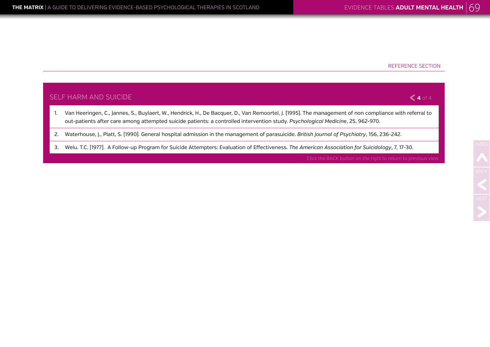## SELF HARM AND SUICIDE 1. Van Heeringen, C., Jannes, S., Buylaert, W., Hendrick, H., De Bacquer, D., Van Remoortel, J. (1995). The management of non compliance with referral to out-patients after care among attempted suicide patients: a controlled intervention study. *Psychological Medicine*, 25, 962-970. 2. Waterhouse, J., Platt, S. (1990). General hospital admission in the management of parasuicide. *British Journal of Psychiatry*, 156, 236-242. **4** of 4

3. Welu. T.C. (1977). A Follow-up Program for Suicide Attempters: Evaluation of Effectiveness. *The American Association for Suicidology*, 7, 17-30.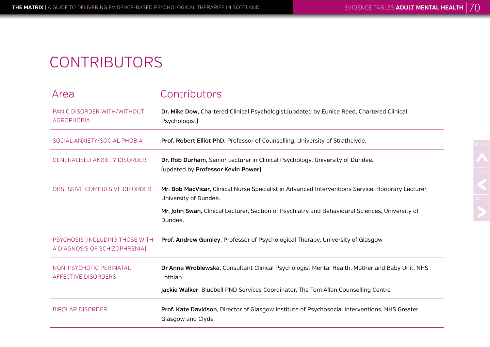# CONTRIBUTORS

| Area                                                             | Contributors                                                                                                               |
|------------------------------------------------------------------|----------------------------------------------------------------------------------------------------------------------------|
| PANIC DISORDER WITH/WITHOUT<br><b>AGROPHOBIA</b>                 | Dr. Mike Dow, Chartered Clinical Psychologist. (updated by Eunice Reed, Chartered Clinical<br>Psychologist)                |
| SOCIAL ANXIETY/SOCIAL PHOBIA                                     | Prof. Robert Elliot PhD, Professor of Counselling, University of Strathclyde.                                              |
| <b>GENERALISED ANXIETY DISORDER</b>                              | Dr. Rob Durham, Senior Lecturer in Clinical Psychology, University of Dundee.<br>(updated by Professor Kevin Power)        |
| OBSESSIVE COMPULSIVE DISORDER                                    | Mr. Bob MacVicar, Clinical Nurse Specialist in Advanced Interventions Service, Honorary Lecturer,<br>University of Dundee. |
|                                                                  | Mr. John Swan, Clinical Lecturer, Section of Psychiatry and Behavioural Sciences, University of<br>Dundee.                 |
| PSYCHOSIS [INCLUDING THOSE WITH<br>A DIAGNOSIS OF SCHIZOPHRENIA] | Prof. Andrew Gumley, Professor of Psychological Therapy, University of Glasgow                                             |
| NON-PSYCHOTIC PERINATAL<br>AFFECTIVE DISORDERS                   | Dr Anna Wroblewska, Consultant Clinical Psychologist Mental Health, Mother and Baby Unit, NHS<br>Lothian                   |
|                                                                  | Jackie Walker, Bluebell PND Services Coordinator, The Tom Allan Counselling Centre                                         |
| <b>BIPOLAR DISORDER</b>                                          | Prof. Kate Davidson, Director of Glasgow Institute of Psychosocial Interventions, NHS Greater<br>Glasgow and Clyde         |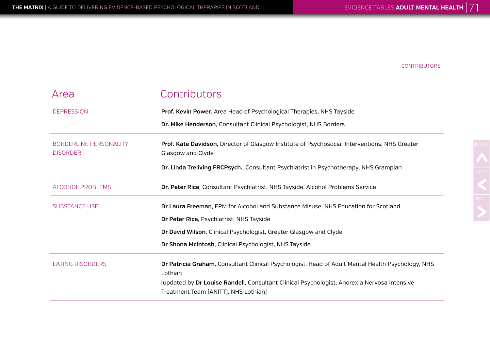| Area                                             | Contributors                                                                                                                        |
|--------------------------------------------------|-------------------------------------------------------------------------------------------------------------------------------------|
| <b>DEPRESSION</b>                                | Prof. Kevin Power, Area Head of Psychological Therapies, NHS Tayside                                                                |
|                                                  | Dr. Mike Henderson, Consultant Clinical Psychologist, NHS Borders                                                                   |
| <b>BORDERLINE PERSONALITY</b><br><b>DISORDER</b> | Prof. Kate Davidson, Director of Glasgow Institute of Psychosocial Interventions, NHS Greater<br>Glasgow and Clyde                  |
|                                                  | Dr. Linda Treliving FRCPsych., Consultant Psychiatrist in Psychotherapy, NHS Grampian                                               |
| <b>ALCOHOL PROBLEMS</b>                          | Dr. Peter Rice, Consultant Psychiatrist, NHS Tayside, Alcohol Problems Service                                                      |
| <b>SUBSTANCE USE</b>                             | Dr Laura Freeman, EPM for Alcohol and Substance Misuse, NHS Education for Scotland                                                  |
|                                                  | Dr Peter Rice, Psychiatrist, NHS Tayside                                                                                            |
|                                                  | Dr David Wilson, Clinical Psychologist, Greater Glasgow and Clyde                                                                   |
|                                                  | Dr Shona McIntosh, Clinical Psychologist, NHS Tayside                                                                               |
| <b>EATING DISORDERS</b>                          | Dr Patricia Graham, Consultant Clinical Psychologist, Head of Adult Mental Health Psychology, NHS<br>Lothian                        |
|                                                  | [updated by Dr Louise Randell, Consultant Clinical Psychologist, Anorexia Nervosa Intensive<br>Treatment Team (ANITT), NHS Lothian) |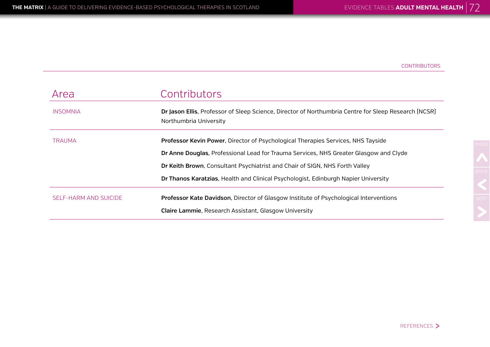| Area                  | Contributors                                                                                                                   |
|-----------------------|--------------------------------------------------------------------------------------------------------------------------------|
| <b>INSOMNIA</b>       | Dr Jason Ellis, Professor of Sleep Science, Director of Northumbria Centre for Sleep Research (NCSR)<br>Northumbria University |
| <b>TRAUMA</b>         | Professor Kevin Power, Director of Psychological Therapies Services, NHS Tayside                                               |
|                       | Dr Anne Douglas, Professional Lead for Trauma Services, NHS Greater Glasgow and Clyde                                          |
|                       | Dr Keith Brown, Consultant Psychiatrist and Chair of SIGN, NHS Forth Valley                                                    |
|                       | Dr Thanos Karatzias, Health and Clinical Psychologist, Edinburgh Napier University                                             |
| SELF-HARM AND SUICIDE | Professor Kate Davidson, Director of Glasgow Institute of Psychological Interventions                                          |
|                       | Claire Lammie, Research Assistant, Glasgow University                                                                          |